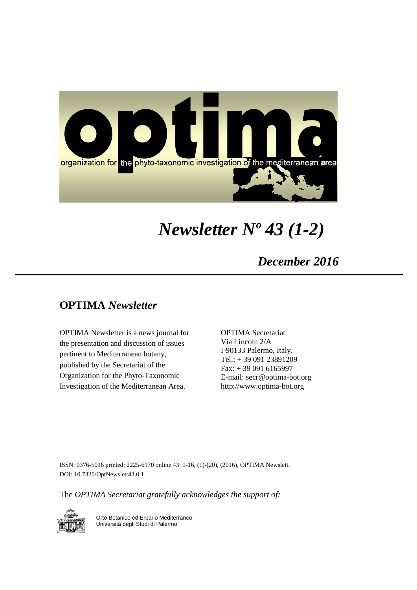

# *Newsletter Nº 43 (1-2)*

## *December 2016*

## **OPTIMA** *Newsletter*

OPTIMA Newsletter is a news journal for the presentation and discussion of issues pertinent to Mediterranean botany, published by the Secretariat of the Organization for the Phyto-Taxonomic Investigation of the Mediterranean Area.

OPTIMA Secretariat Via Lincoln 2/A I-90133 Palermo, Italy. Tel.: + 39 091 23891209 Fax: + 39 091 6165997 E-mail: secr@optima-bot.org http://www.optima-bot.org

ISSN: 0376-5016 printed; 2225-6970 online 43: 1-16, (1)-(20), (2016), OPTIMA Newslett. DOI: 10.7320/OptNewslett43.0.1

The *OPTIMA Secretariat gratefully acknowledges the support of:* 



Orto Botanico ed Erbario Mediterraneo Università degli Studi di Palermo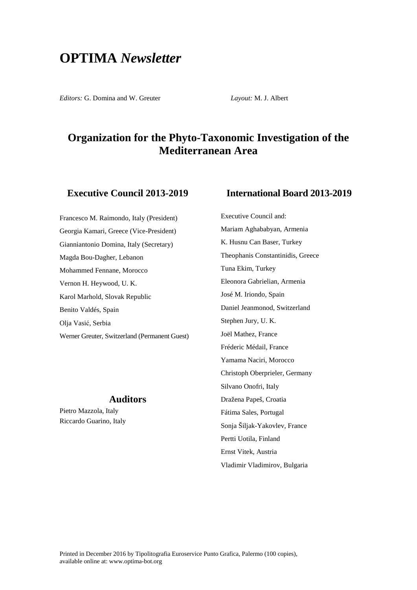## **OPTIMA** *Newsletter*

*Editors:* G. Domina and W. Greuter *Layout:* M. J. Albert

Executive Council and:

## **Organization for the Phyto-Taxonomic Investigation of the Mediterranean Area**

## **Executive Council 2013-2019**

Francesco M. Raimondo, Italy (President) Georgia Kamari, Greece (Vice-President) Gianniantonio Domina, Italy (Secretary) Magda Bou-Dagher, Lebanon Mohammed Fennane, Morocco Vernon H. Heywood, U. K. Karol Marhold, Slovak Republic Benito Valdés, Spain Olja Vasić, Serbia Werner Greuter, Switzerland (Permanent Guest)

## **Auditors**

Pietro Mazzola, Italy Riccardo Guarino, Italy

# **International Board 2013-2019**

Mariam Aghababyan, Armenia K. Husnu Can Baser, Turkey Theophanis Constantinidis, Greece Tuna Ekim, Turkey Eleonora Gabrielian, Armenia José M. Iriondo, Spain Daniel Jeanmonod, Switzerland Stephen Jury, U. K. Joël Mathez, France Fréderic Médail, France Yamama Naciri, Morocco Christoph Oberprieler, Germany Silvano Onofri, Italy Dražena Papeš, Croatia Fátima Sales, Portugal Sonja Šiljak-Yakovlev, France Pertti Uotila, Finland Ernst Vitek, Austria Vladimir Vladimirov, Bulgaria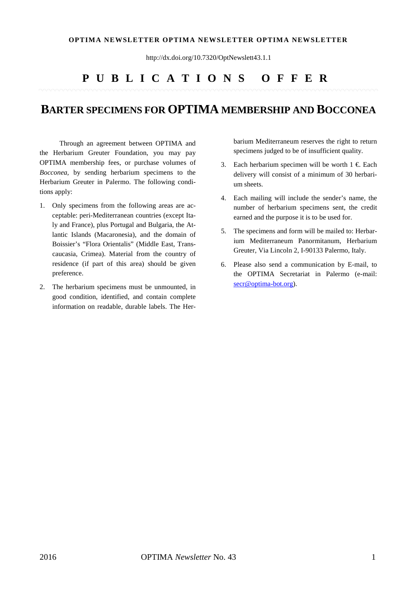### **OPTIMA NEWSLETTER OPTIMA NEWSLETTER OPTIMA NEWSLETTER**

http://dx.doi.org/10.7320/OptNewslett43.1.1

## **PUBLICATIONS OFFER**

## **BARTER SPECIMENS FOR OPTIMA MEMBERSHIP AND BOCCONEA**

Through an agreement between OPTIMA and the Herbarium Greuter Foundation, you may pay OPTIMA membership fees, or purchase volumes of *Bocconea,* by sending herbarium specimens to the Herbarium Greuter in Palermo. The following conditions apply:

- 1. Only specimens from the following areas are acceptable: peri-Mediterranean countries (except Italy and France), plus Portugal and Bulgaria, the Atlantic Islands (Macaronesia), and the domain of Boissier's "Flora Orientalis" (Middle East, Transcaucasia, Crimea). Material from the country of residence (if part of this area) should be given preference.
- 2. The herbarium specimens must be unmounted, in good condition, identified, and contain complete information on readable, durable labels. The Her-

barium Mediterraneum reserves the right to return specimens judged to be of insufficient quality.

- 3. Each herbarium specimen will be worth  $1 \in$  Each delivery will consist of a minimum of 30 herbarium sheets.
- 4. Each mailing will include the sender's name, the number of herbarium specimens sent, the credit earned and the purpose it is to be used for.
- 5. The specimens and form will be mailed to: Herbarium Mediterraneum Panormitanum, Herbarium Greuter, Via Lincoln 2, I-90133 Palermo, Italy.
- 6. Please also send a communication by E-mail, to the OPTIMA Secretariat in Palermo (e-mail: [secr@optima-bot.org\)](mailto:secr@optima-bot.org).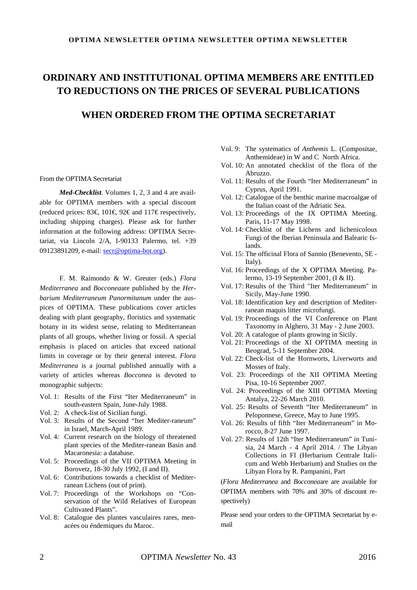## **ORDINARY AND INSTITUTIONAL OPTIMA MEMBERS ARE ENTITLED TO REDUCTIONS ON THE PRICES OF SEVERAL PUBLICATIONS**

## **WHEN ORDERED FROM THE OPTIMA SECRETARIAT**

#### From the OPTIMA Secretariat

*Med-Checklist*. Volumes 1, 2, 3 and 4 are available for OPTIMA members with a special discount (reduced prices: 83€, 101€, 92€ and 117€ respectively, including shipping charges). Please ask for further information at the following address: OPTIMA Secretariat, via Lincoln 2/A, I-90133 Palermo, tel. +39 09123891209, e-mail: [secr@optima-bot.org\)](mailto:secr@optima-bot.org).

F. M. Raimondo & W. Greuter (eds.) *Flora Mediterranea* and *Bocconea*are published by the *Herbarium Mediterraneum Panormitanum* under the auspices of OPTIMA. These publications cover articles dealing with plant geography, floristics and systematic botany in its widest sense, relating to Mediterranean plants of all groups, whether living or fossil. A special emphasis is placed on articles that exceed national limits in coverage or by their general interest. *Flora Mediterranea* is a journal published annually with a variety of articles whereas *Bocconea* is devoted to monographic subjects:

- Vol. 1: Results of the First "Iter Mediterraneum" in south-eastern Spain, June-July 1988.
- Vol. 2: A check-list of Sicilian fungi.
- Vol. 3: Results of the Second "Iter Mediter-raneum" in Israel, March-April 1989.
- Vol. 4: Current research on the biology of threatened plant species of the Mediter-ranean Basin and Macaronesia: a database.
- Vol. 5: Proceedings of the VII OPTIMA Meeting in Borovetz, 18-30 July 1992, (I and II).
- Vol. 6: Contributions towards a checklist of Mediterranean Lichens (out of print).
- Vol. 7: Proceedings of the Workshops on "Conservation of the Wild Relatives of European Cultivated Plants".
- Vol. 8: Catalogue des plantes vasculaires rares, menacées ou éndemiques du Maroc.
- Vol. 9: The systematics of *Anthemis* L. (Compositae, Anthemideae) in W and C North Africa.
- Vol. 10: An annotated checklist of the flora of the Abruzzo.
- Vol. 11: Results of the Fourth "Iter Mediterraneum" in Cyprus, April 1991.
- Vol. 12: Catalogue of the benthic marine macroalgae of the Italian coast of the Adriatic Sea.
- Vol. 13: Proceedings of the IX OPTIMA Meeting. Paris, 11-17 May 1998.
- Vol. 14: Checklist of the Lichens and lichenicolous Fungi of the Iberian Peninsula and Balearic Islands.
- Vol. 15: The officinal Flora of Sannio (Benevento, SE Italy).
- Vol. 16: Proceedings of the X OPTIMA Meeting. Palermo, 13-19 September 2001, (I & II).
- Vol. 17: Results of the Third "Iter Mediterraneum" in Sicily, May-June 1990.
- Vol. 18: Identification key and description of Mediterranean maquis litter microfungi.
- Vol. 19: Proceedings of the VI Conference on Plant Taxonomy in Alghero, 31 May - 2 June 2003.
- Vol. 20: A catalogue of plants growing in Sicily.
- Vol. 21: Proceedings of the XI OPTIMA meeting in Beograd, 5-11 September 2004.
- Vol. 22: Check-list of the Hornworts, Liverworts and Mosses of Italy.
- Vol. 23: Proceedings of the XII OPTIMA Meeting Pisa, 10-16 September 2007.
- Vol. 24: Proceedings of the XIII OPTIMA Meeting Antalya, 22-26 March 2010.
- Vol. 25: Results of Seventh "Iter Mediterraneum" in Peloponnese, Greece, May to June 1995.
- Vol. 26: Results of fifth "Iter Mediterraneum" in Morocco, 8-27 June 1997.
- Vol. 27: Results of 12th "Iter Mediterraneum" in Tunisia, 24 March - 4 April 2014. / The Libyan Collections in FI (Herbarium Centrale Italicum and Webb Herbarium) and Studies on the Libyan Flora by R. Pampanini, Part

(*Flora Mediterranea* and *Bocconea*are are available for OPTIMA members with 70% and 30% of discount respectively)

Please send your orders to the OPTIMA Secretariat by email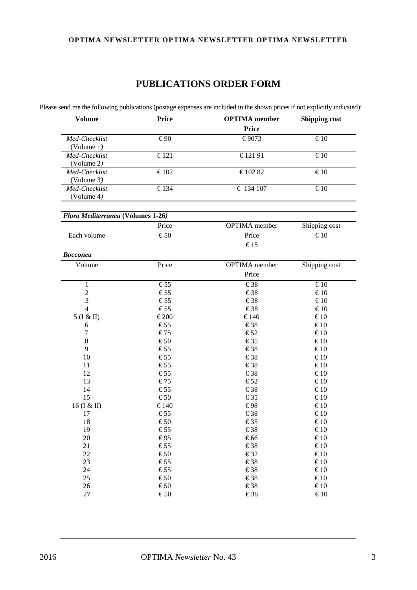## **OPTIMA NEWSLETTER OPTIMA NEWSLETTER OPTIMA NEWSLETTER**

## **PUBLICATIONS ORDER FORM**

Please send me the following publications (postage expenses are included in the shown prices if not explicitly indicated):

| <b>Volume</b>               | <b>Price</b>   | <b>OPTIMA</b> member<br><b>Price</b> | <b>Shipping cost</b> |
|-----------------------------|----------------|--------------------------------------|----------------------|
| Med-Checklist<br>(Volume 1) | €90            | €9073                                | $\epsilon_{10}$      |
| Med-Checklist<br>(Volume 2) | $\epsilon$ 121 | €12191                               | $\epsilon_{10}$      |
| Med-Checklist<br>(Volume 3) | $\epsilon$ 102 | €10282                               | $\epsilon_{10}$      |
| Med-Checklist<br>(Volume 4) | $\epsilon$ 134 | $\epsilon$ 134 107                   | $\epsilon_{10}$      |

| <i>Flora Mediterranea</i> (Volumes 1-26) |               |                      |               |
|------------------------------------------|---------------|----------------------|---------------|
|                                          | Price         | <b>OPTIMA</b> member | Shipping cost |
| Each volume                              | $\epsilon$ 50 | Price                | €10           |
|                                          |               | $\epsilon$ 15        |               |

| <b>Bocconea</b> |                 |                      |                  |
|-----------------|-----------------|----------------------|------------------|
| Volume          | Price           | <b>OPTIMA</b> member | Shipping cost    |
|                 |                 | Price                |                  |
| $\mathbf{1}$    | €55             | $\epsilon$ 38        | $\epsilon$ 10    |
| $\sqrt{2}$      | €55             | $\epsilon$ 38        | €10              |
| 3               | $\epsilon$ 55   | €38                  | €10              |
| $\overline{4}$  | €55             | €38                  | $\epsilon$ 10    |
| 5 (I & II)      | €200            | €140                 | $\epsilon$ 10    |
| 6               | €55             | €38                  | $\epsilon$ 10    |
| $\overline{7}$  | €75             | $\epsilon$ 52        | €10              |
| $\,8\,$         | $\epsilon$ 50   | $\epsilon$ 35        | €10              |
| 9               | €55             | $\epsilon$ 38        | €10              |
| $10\,$          | €55             | €38                  | $\epsilon$ 10    |
| 11              | €55             | €38                  | $\epsilon$ 10    |
| 12              | €55             | €38                  | €10              |
| 13              | €75             | $\epsilon$ 52        | $\epsilon$ 10    |
| 14              | €55             | €38                  | €10              |
| 15              | $\epsilon$ 50   | €35                  | €10              |
| 16 (I & II)     | €140            | €98                  | €10              |
| 17              | €55             | €38                  | $\epsilon$ 10    |
| 18              | $\mathfrak{S}0$ | €35                  | $\epsilon$ 10    |
| 19              | €55             | €38                  | €10              |
| 20              | €95             | €66                  | $\epsilon$ 10    |
| 21              | €55             | €38                  | €10              |
| 22              | $\epsilon$ 50   | $\epsilon$ 32        | $\epsilon$ 10    |
| 23              | €55             | €38                  | €10              |
| 24              | €55             | €38                  | $\epsilon$ 10    |
| 25              | €50             | $\epsilon$ 38        | $\mathfrak{K}10$ |
| 26              | $\epsilon$ 50   | €38                  | $\epsilon$ 10    |
| 27              | $\epsilon$ 50   | €38                  | €10              |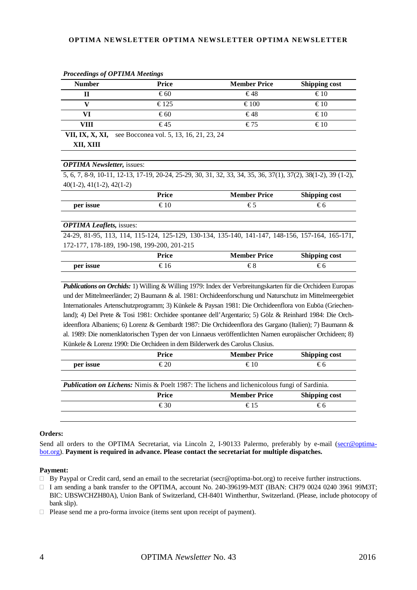### **OPTIMA NEWSLETTER OPTIMA NEWSLETTER OPTIMA NEWSLETTER**

| <b>Number</b> | <b>Price</b>                                                   | <b>Member Price</b> | <b>Shipping cost</b> |
|---------------|----------------------------------------------------------------|---------------------|----------------------|
| П             | $\epsilon$ 60                                                  | €48                 | $\epsilon$ 10        |
|               | $\epsilon$ 125                                                 | €100                | $\epsilon$ 10        |
| VI            | $\epsilon$ 60                                                  | €48                 | $\epsilon$ 10        |
| VIII          | $\epsilon$ 45                                                  | €75                 | $\epsilon$ 10        |
|               | <b>VII, IX, X, XI,</b> see Bocconea vol. 5, 13, 16, 21, 23, 24 |                     |                      |
| XII. XIII     |                                                                |                     |                      |

*Proceedings of OPTIMA Meetings*

#### *OPTIMA Newsletter,* issues:

5, 6, 7, 8-9, 10-11, 12-13, 17-19, 20-24, 25-29, 30, 31, 32, 33, 34, 35, 36, 37(1), 37(2), 38(1-2), 39 (1-2), 40(1-2), 41(1-2), 42(1-2)

|           | Price | <b>Member Price</b> | Shipping cost |
|-----------|-------|---------------------|---------------|
| per issue |       |                     | ŧδ            |

### *OPTIMA Leaflets,* issues:

24-29, 81-95, 113, 114, 115-124, 125-129, 130-134, 135-140, 141-147, 148-156, 157-164, 165-171, 172-177, 178-189, 190-198, 199-200, 201-215

|           | Price | <b>Member Price</b> | Shipping cost |
|-----------|-------|---------------------|---------------|
| per issue |       | UΟ                  | €b.           |

*Publications on Orchids:* 1) Willing & Willing 1979: Index der Verbreitungskarten für die Orchideen Europas und der Mittelmeerländer; 2) Baumann & al. 1981: Orchideenforschung und Naturschutz im Mittelmeergebiet Internationales Artenschutzprogramm; 3) Künkele & Paysan 1981: Die Orchideenflora von Euböa (Griechenland); 4) Del Prete & Tosi 1981: Orchidee spontanee dell'Argentario; 5) Gölz & Reinhard 1984: Die Orchideenflora Albaniens; 6) Lorenz & Gembardt 1987: Die Orchideenflora des Gargano (Italien); 7) Baumann & al. 1989: Die nomenklatorischen Typen der von Linnaeus veröffentlichten Namen europäischer Orchideen; 8) Künkele & Lorenz 1990: Die Orchideen in dem Bilderwerk des Carolus Clusius.

|           | <b>Price</b>    | <b>Member Price</b>                                                                                 | <b>Shipping cost</b> |
|-----------|-----------------|-----------------------------------------------------------------------------------------------------|----------------------|
| per issue | $\epsilon_{20}$ | $\epsilon$ 10                                                                                       | €6                   |
|           |                 |                                                                                                     |                      |
|           |                 | <b>Publication on Lichens:</b> Nimis & Poelt 1987: The lichens and lichenicolous fungi of Sardinia. |                      |
|           | <b>Price</b>    | <b>Member Price</b>                                                                                 | <b>Shipping cost</b> |
|           | €30             | $\epsilon$ 15                                                                                       | €6                   |
|           |                 |                                                                                                     |                      |

### **Orders:**

Send all orders to the OPTIMA Secretariat, via Lincoln 2, I-90133 Palermo, preferably by e-mail [\(secr@optima](mailto:secr@optima-bot.org)[bot.org\)](mailto:secr@optima-bot.org). **Payment is required in advance. Please contact the secretariat for multiple dispatches.**

#### **Payment:**

- □ By Paypal or Credit card, send an email to the secretariat (secr@optima-bot.org) to receive further instructions.
- □ I am sending a bank transfer to the OPTIMA, account No. 240-396199-M3T (IBAN: CH79 0024 0240 3961 99M3T; BIC: UBSWCHZH80A), Union Bank of Switzerland, CH-8401 Wintherthur, Switzerland. (Please, include photocopy of bank slip).

□ Please send me a pro-forma invoice (items sent upon receipt of payment).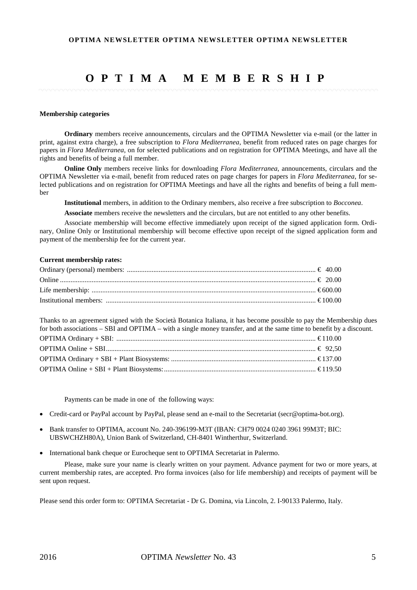## **OPTIMA MEMBERSHIP**

#### **Membership categories**

**Ordinary** members receive announcements, circulars and the OPTIMA Newsletter via e-mail (or the latter in print, against extra charge), a free subscription to *Flora Mediterranea*, benefit from reduced rates on page charges for papers in *Flora Mediterranea*, on for selected publications and on registration for OPTIMA Meetings, and have all the rights and benefits of being a full member.

**Online Only** members receive links for downloading *Flora Mediterranea*, announcements, circulars and the OPTIMA Newsletter via e-mail, benefit from reduced rates on page charges for papers in *Flora Mediterranea*, for selected publications and on registration for OPTIMA Meetings and have all the rights and benefits of being a full member

**Institutional** members, in addition to the Ordinary members, also receive a free subscription to *Bocconea*.

**Associate** members receive the newsletters and the circulars, but are not entitled to any other benefits.

Associate membership will become effective immediately upon receipt of the signed application form. Ordinary, Online Only or Institutional membership will become effective upon receipt of the signed application form and payment of the membership fee for the current year.

### **Current membership rates:**

Thanks to an agreement signed with the Società Botanica Italiana, it has become possible to pay the Membership dues for both associations – SBI and OPTIMA – with a single money transfer, and at the same time to benefit by a discount.

Payments can be made in one of the following ways:

- Credit-card or PayPal account by PayPal, please send an e-mail to the Secretariat (secr@optima-bot.org).
- Bank transfer to OPTIMA, account No. 240-396199-M3T (IBAN: CH79 0024 0240 3961 99M3T; BIC: UBSWCHZH80A), Union Bank of Switzerland, CH-8401 Wintherthur, Switzerland.
- International bank cheque or Eurocheque sent to OPTIMA Secretariat in Palermo.

Please, make sure your name is clearly written on your payment. Advance payment for two or more years, at current membership rates, are accepted. Pro forma invoices (also for life membership) and receipts of payment will be sent upon request.

Please send this order form to: OPTIMA Secretariat - Dr G. Domina, via Lincoln, 2. I-90133 Palermo, Italy.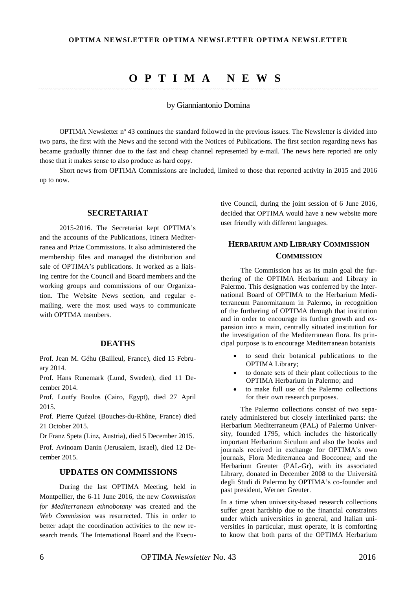## **OPTIMA NEWS**

### by Gianniantonio Domina

OPTIMA Newsletter nº 43 continues the standard followed in the previous issues. The Newsletter is divided into two parts, the first with the News and the second with the Notices of Publications. The first section regarding news has became gradually thinner due to the fast and cheap channel represented by e-mail. The news here reported are only those that it makes sense to also produce as hard copy.

Short news from OPTIMA Commissions are included, limited to those that reported activity in 2015 and 2016 up to now.

### **SECRETARIAT**

2015-2016. The Secretariat kept OPTIMA's and the accounts of the Publications, Itinera Mediterranea and Prize Commissions. It also administered the membership files and managed the distribution and sale of OPTIMA's publications. It worked as a liaising centre for the Council and Board members and the working groups and commissions of our Organization. The Website News section, and regular emailing, were the most used ways to communicate with OPTIMA members.

### **DEATHS**

Prof. Jean M. Géhu (Bailleul, France), died 15 February 2014.

Prof. Hans Runemark (Lund, Sweden), died 11 December 2014.

Prof. Loutfy Boulos (Cairo, Egypt), died 27 April 2015.

Prof. Pierre Quézel (Bouches-du-Rhône, France) died 21 October 2015.

Dr Franz Speta (Linz, Austria), died 5 December 2015.

Prof. Avinoam Danin (Jerusalem, Israel), died 12 December 2015.

### **UPDATES ON COMMISSIONS**

During the last OPTIMA Meeting, held in Montpellier, the 6-11 June 2016, the new *Commission for Mediterranean ethnobotany* was created and the *Web Commission* was resurrected. This in order to better adapt the coordination activities to the new research trends. The International Board and the Executive Council, during the joint session of 6 June 2016, decided that OPTIMA would have a new website more user friendly with different languages.

## **HERBARIUM AND LIBRARY COMMISSION COMMISSION**

The Commission has as its main goal the furthering of the OPTIMA Herbarium and Library in Palermo. This designation was conferred by the International Board of OPTIMA to the Herbarium Mediterraneum Panormitanum in Palermo, in recognition of the furthering of OPTIMA through that institution and in order to encourage its further growth and expansion into a main, centrally situated institution for the investigation of the Mediterranean flora. Its principal purpose is to encourage Mediterranean botanists

- to send their botanical publications to the OPTIMA Library;
- to donate sets of their plant collections to the OPTIMA Herbarium in Palermo; and
- to make full use of the Palermo collections for their own research purposes.

The Palermo collections consist of two separately administered but closely interlinked parts: the Herbarium Mediterraneum (PAL) of Palermo University, founded 1795, which includes the historically important Herbarium Siculum and also the books and journals received in exchange for OPTIMA's own journals, Flora Mediterranea and Bocconea; and the Herbarium Greuter (PAL-Gr), with its associated Library, donated in December 2008 to the Università degli Studi di Palermo by OPTIMA's co-founder and past president, Werner Greuter.

In a time when university-based research collections suffer great hardship due to the financial constraints under which universities in general, and Italian universities in particular, must operate, it is comforting to know that both parts of the OPTIMA Herbarium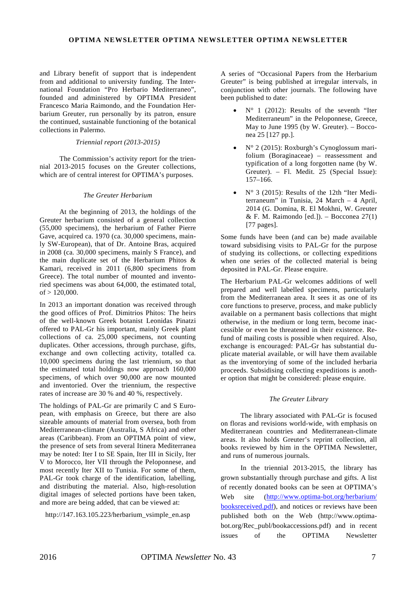and Library benefit of support that is independent from and additional to university funding. The International Foundation "Pro Herbario Mediterraneo", founded and administered by OPTIMA President Francesco Maria Raimondo, and the Foundation Herbarium Greuter, run personally by its patron, ensure the continued, sustainable functioning of the botanical collections in Palermo.

### *Triennial report (2013-2015)*

The Commission's activity report for the triennial 2013-2015 focuses on the Greuter collections, which are of central interest for OPTIMA's purposes.

### *The Greuter Herbarium*

At the beginning of 2013, the holdings of the Greuter herbarium consisted of a general collection (55,000 specimens), the herbarium of Father Pierre Gave, acquired ca. 1970 (ca. 30,000 specimens, mainly SW-European), that of Dr. Antoine Bras, acquired in 2008 (ca. 30,000 specimens, mainly S France), and the main duplicate set of the Herbarium Phitos & Kamari, received in 2011 (6,800 specimens from Greece). The total number of mounted and inventoried specimens was about 64,000, the estimated total, of > 120,000.

In 2013 an important donation was received through the good offices of Prof. Dimitrios Phitos: The heirs of the well-known Greek botanist Leonidas Pinatzi offered to PAL-Gr his important, mainly Greek plant collections of ca. 25,000 specimens, not counting duplicates. Other accessions, through purchase, gifts, exchange and own collecting activity, totalled ca. 10,000 specimens during the last triennium, so that the estimated total holdings now approach 160,000 specimens, of which over 90,000 are now mounted and inventoried. Over the triennium, the respective rates of increase are 30 % and 40 %, respectively.

The holdings of PAL-Gr are primarily C and S European, with emphasis on Greece, but there are also sizeable amounts of material from oversea, both from Mediterranean-climate (Australia, S Africa) and other areas (Caribbean). From an OPTIMA point of view, the presence of sets from several Itinera Mediterranea may be noted: Iter I to SE Spain, Iter III in Sicily, Iter V to Morocco, Iter VII through the Peloponnese, and most recently Iter XII to Tunisia. For some of them, PAL-Gr took charge of the identification, labelling, and distributing the material. Also, high-resolution digital images of selected portions have been taken, and more are being added, that can be viewed at:

[http://147.163.105.223/herbarium\\_vsimple\\_en.asp](http://147.163.105.223/herbarium_vsimple_en.asp)

A series of "Occasional Papers from the Herbarium Greuter" is being published at irregular intervals, in conjunction with other journals. The following have been published to date:

- $N^{\circ}$  1 (2012): Results of the seventh "Iter Mediterraneum" in the Peloponnese, Greece, May to June 1995 (by W. Greuter). – Bocconea 25 [127 pp.].
- N° 2 (2015): Roxburgh's Cynoglossum marifolium (Boraginaceae) – reassessment and typification of a long forgotten name (by W. Greuter). – Fl. Medit. 25 (Special Issue): 157–166.
- N° 3 (2015): Results of the 12th "Iter Mediterraneum" in Tunisia, 24 March – 4 April, 2014 (G. Domina, R. El Mokhni, W. Greuter  $&$  F. M. Raimondo [ed.]). – Bocconea 27(1) [77 pages].

Some funds have been (and can be) made available toward subsidising visits to PAL-Gr for the purpose of studying its collections, or collecting expeditions when one series of the collected material is being deposited in PAL-Gr. Please enquire.

The Herbarium PAL-Gr welcomes additions of well prepared and well labelled specimens, particularly from the Mediterranean area. It sees it as one of its core functions to preserve, process, and make publicly available on a permanent basis collections that might otherwise, in the medium or long term, become inaccessible or even be threatened in their existence. Refund of mailing costs is possible when required. Also, exchange is encouraged: PAL-Gr has substantial duplicate material available, or will have them available as the inventorying of some of the included herbaria proceeds. Subsidising collecting expeditions is another option that might be considered: please enquire.

## *The Greuter Library*

The library associated with PAL-Gr is focused on floras and revisions world-wide, with emphasis on Mediterranean countries and Mediterranean-climate areas. It also holds Greuter's reprint collection, all books reviewed by him in the OPTIMA Newsletter, and runs of numerous journals.

In the triennial 2013-2015, the library has grown substantially through purchase and gifts. A list of recently donated books can be seen at OPTIMA's Web site [\(http://www.optima-bot.org/herbarium/](http://www.optima-bot.org/herbarium/%20booksreceived.pdf)  [booksreceived.pdf\)](http://www.optima-bot.org/herbarium/%20booksreceived.pdf), and notices or reviews have been published both on the Web (http://www.optimabot.org/Rec\_publ/bookaccessions.pdf) and in recent issues of the OPTIMA Newsletter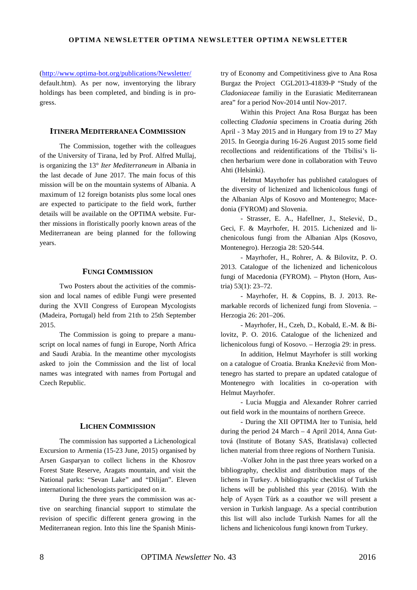[\(http://www.optima-bot.org/publications/Newsletter/](http://www.optima-bot.org/publications/Newsletter/)

default.htm). As per now, inventorying the library holdings has been completed, and binding is in progress.

### **ITINERA MEDITERRANEA COMMISSION**

The Commission, together with the colleagues of the University of Tirana, led by Prof. Alfred Mullaj, is organizing the 13° *Iter Mediterraneum* in Albania in the last decade of June 2017. The main focus of this mission will be on the mountain systems of Albania. A maximum of 12 foreign botanists plus some local ones are expected to participate to the field work, further details will be available on the OPTIMA website. Further missions in floristically poorly known areas of the Mediterranean are being planned for the following years.

### **FUNGI COMMISSION**

Two Posters about the activities of the commission and local names of edible Fungi were presented during the XVII Congress of European Mycologists (Madeira, Portugal) held from 21th to 25th September 2015.

The Commission is going to prepare a manuscript on local names of fungi in Europe, North Africa and Saudi Arabia. In the meantime other mycologists asked to join the Commission and the list of local names was integrated with names from Portugal and Czech Republic.

### **LICHEN COMMISSION**

The commission has supported a Lichenological Excursion to Armenia (15-23 June, 2015) organised by Arsen Gasparyan to collect lichens in the Khosrov Forest State Reserve, Aragats mountain, and visit the National parks: "Sevan Lake" and "Dilijan". Eleven international lichenologists participated on it.

During the three years the commission was active on searching financial support to stimulate the revision of specific different genera growing in the Mediterranean region. Into this line the Spanish Ministry of Economy and Competitiviness give to Ana Rosa Burgaz the Project CGL2013-41839-P "Study of the *Cladoniaceae* familiy in the Eurasiatic Mediterranean area" for a period Nov-2014 until Nov-2017.

Within this Project Ana Rosa Burgaz has been collecting *Cladonia* specimens in Croatia during 26th April - 3 May 2015 and in Hungary from 19 to 27 May 2015. In Georgia during 16-26 August 2015 some field recollections and reidentifications of the Tbilisi's lichen herbarium were done in collaboration with Teuvo Ahti (Helsinki).

Helmut Mayrhofer has published catalogues of the diversity of lichenized and lichenicolous fungi of the Albanian Alps of Kosovo and Montenegro; Macedonia (FYROM) and Slovenia.

- Strasser, E. A., Hafellner, J., Stešević, D., Geci, F. & Mayrhofer, H. 2015. Lichenized and lichenicolous fungi from the Albanian Alps (Kosovo, Montenegro). Herzogia 28: 520-544.

- Mayrhofer, H., Rohrer, A. & Bilovitz, P. O. 2013. Catalogue of the lichenized and lichenicolous fungi of Macedonia (FYROM). – Phyton (Horn, Austria) 53(1): 23–72.

- Mayrhofer, H. & Coppins, B. J. 2013. Remarkable records of lichenized fungi from Slovenia. – Herzogia 26: 201–206.

- Mayrhofer, H., Czeh, D., Kobald, E.-M. & Bilovitz, P. O. 2016. Catalogue of the lichenized and lichenicolous fungi of Kosovo. – Herzogia 29: in press.

In addition, Helmut Mayrhofer is still working on a catalogue of Croatia. Branka Knežević from Montenegro has started to prepare an updated catalogue of Montenegro with localities in co-operation with Helmut Mayrhofer.

- Lucia Muggia and Alexander Rohrer carried out field work in the mountains of northern Greece.

- During the XII OPTIMA Iter to Tunisia, held during the period 24 March – 4 April 2014, Anna Guttová (Institute of Botany SAS, Bratislava) collected lichen material from three regions of Northern Tunisia.

-Volker John in the past three years worked on a bibliography, checklist and distribution maps of the lichens in Turkey. A bibliographic checklist of Turkish lichens will be published this year (2016). With the help of Ayşen Türk as a coauthor we will present a version in Turkish language. As a special contribution this list will also include Turkish Names for all the lichens and lichenicolous fungi known from Turkey.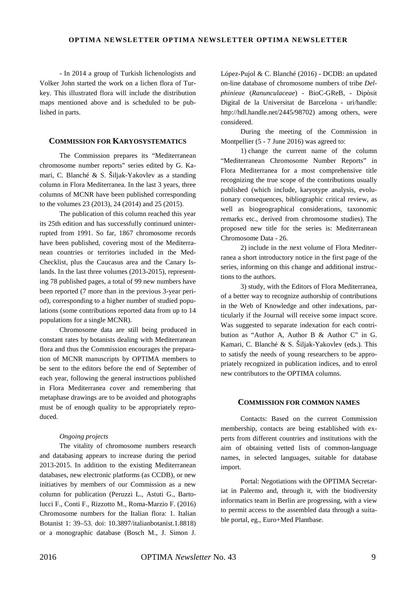- In 2014 a group of Turkish lichenologists and Volker John started the work on a lichen flora of Turkey. This illustrated flora will include the distribution maps mentioned above and is scheduled to be published in parts.

## **COMMISSION FOR KARYOSYSTEMATICS**

The Commission prepares its "Mediterranean chromosome number reports" series edited by G. Kamari, C. Blanché & S. Šiljak-Yakovlev as a standing column in Flora Mediterranea. In the last 3 years, three columns of MCNR have been published corresponding to the volumes 23 (2013), 24 (2014) and 25 (2015).

The publication of this column reached this year its 25th edition and has successfully continued uninterrupted from 1991. So far, 1867 chromosome records have been published, covering most of the Mediterranean countries or territories included in the Med-Checklist, plus the Caucasus area and the Canary Islands. In the last three volumes (2013-2015), representing 78 published pages, a total of 99 new numbers have been reported (7 more than in the previous 3-year period), corresponding to a higher number of studied populations (some contributions reported data from up to 14 populations for a single MCNR).

Chromosome data are still being produced in constant rates by botanists dealing with Mediterranean flora and thus the Commission encourages the preparation of MCNR manuscripts by OPTIMA members to be sent to the editors before the end of September of each year, following the general instructions published in Flora Mediterranea cover and remembering that metaphase drawings are to be avoided and photographs must be of enough quality to be appropriately reproduced.

#### *Ongoing projects*

The vitality of chromosome numbers research and databasing appears to increase during the period 2013-2015. In addition to the existing Mediterranean databases, new electronic platforms (as CCDB), or new initiatives by members of our Commission as a new column for publication (Peruzzi L., Astuti G., Bartolucci F., Conti F., Rizzotto M., Roma-Marzio F. (2016) Chromosome numbers for the Italian flora: 1. Italian Botanist 1: 39–53. doi: 10.3897/italianbotanist.1.8818) or a monographic database (Bosch M., J. Simon J.

López-Pujol & C. Blanché (2016) - DCDB: an updated on-line database of chromosome numbers of tribe *Delphinieae* (*Ranunculaceae*) - BioC-GReB, - Dipòsit Digital de la Universitat de Barcelona - uri/handle: http://hdl.handle.net/2445/98702) among others, were considered.

During the meeting of the Commission in Montpellier (5 - 7 June 2016) was agreed to:

1) change the current name of the column "Mediterranean Chromosome Number Reports" in Flora Mediterranea for a most comprehensive title recognizing the true scope of the contributions usually published (which include, karyotype analysis, evolutionary consequences, bibliographic critical review, as well as biogeographical considerations, taxonomic remarks etc., derived from chromosome studies). The proposed new title for the series is: Mediterranean Chromosome Data - 26.

2) include in the next volume of Flora Mediterranea a short introductory notice in the first page of the series, informing on this change and additional instructions to the authors.

3) study, with the Editors of Flora Mediterranea, of a better way to recognize authorship of contributions in the Web of Knowledge and other indexations, particularly if the Journal will receive some impact score. Was suggested to separate indexation for each contribution as "Author A, Author B & Author C" in G. Kamari, C. Blanché & S. Šiljak-Yakovlev (eds.). This to satisfy the needs of young researchers to be appropriately recognized in publication indices, and to enrol new contributors to the OPTIMA columns.

## **COMMISSION FOR COMMON NAMES**

Contacts: Based on the current Commission membership, contacts are being established with experts from different countries and institutions with the aim of obtaining vetted lists of common-language names, in selected languages, suitable for database import.

Portal: Negotiations with the OPTIMA Secretariat in Palermo and, through it, with the biodiversity informatics team in Berlin are progressing, with a view to permit access to the assembled data through a suitable portal, eg., Euro+Med Plantbase.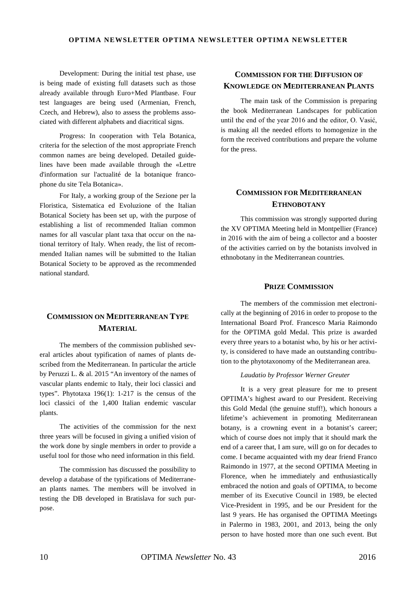Development: During the initial test phase, use is being made of existing full datasets such as those already available through Euro+Med Plantbase. Four test languages are being used (Armenian, French, Czech, and Hebrew), also to assess the problems associated with different alphabets and diacritical signs.

Progress: In cooperation with Tela Botanica, criteria for the selection of the most appropriate French common names are being developed. Detailed guidelines have been made available through the «Lettre d'information sur l'actualité de la botanique francophone du site Tela Botanica».

For Italy, a working group of the Sezione per la Floristica, Sistematica ed Evoluzione of the Italian Botanical Society has been set up, with the purpose of establishing a list of recommended Italian common names for all vascular plant taxa that occur on the national territory of Italy. When ready, the list of recommended Italian names will be submitted to the Italian Botanical Society to be approved as the recommended national standard.

## **COMMISSION ON MEDITERRANEAN TYPE MATERIAL**

The members of the commission published several articles about typification of names of plants described from the Mediterranean. In particular the article by Peruzzi L. & al. 2015 "An inventory of the names of vascular plants endemic to Italy, their loci classici and types". Phytotaxa 196(1): 1-217 is the census of the loci classici of the 1,400 Italian endemic vascular plants.

The activities of the commission for the next three years will be focused in giving a unified vision of the work done by single members in order to provide a useful tool for those who need information in this field.

The commission has discussed the possibility to develop a database of the typifications of Mediterranean plants names. The members will be involved in testing the DB developed in Bratislava for such purpose.

## **COMMISSION FOR THE DIFFUSION OF KNOWLEDGE ON MEDITERRANEAN PLANTS**

The main task of the Commission is preparing the book Mediterranean Landscapes for publication until the end of the year 2016 and the editor, O. Vasić, is making all the needed efforts to homogenize in the form the received contributions and prepare the volume for the press.

## **COMMISSION FOR MEDITERRANEAN ETHNOBOTANY**

This commission was strongly supported during the XV OPTIMA Meeting held in Montpellier (France) in 2016 with the aim of being a collector and a booster of the activities carried on by the botanists involved in ethnobotany in the Mediterranean countries.

### **PRIZE COMMISSION**

The members of the commission met electronically at the beginning of 2016 in order to propose to the International Board Prof. Francesco Maria Raimondo for the OPTIMA gold Medal. This prize is awarded every three years to a botanist who, by his or her activity, is considered to have made an outstanding contribution to the phytotaxonomy of the Mediterranean area.

### *Laudatio by Professor Werner Greuter*

It is a very great pleasure for me to present OPTIMA's highest award to our President. Receiving this Gold Medal (the genuine stuff!), which honours a lifetime's achievement in promoting Mediterranean botany, is a crowning event in a botanist's career; which of course does not imply that it should mark the end of a career that, I am sure, will go on for decades to come. I became acquainted with my dear friend Franco Raimondo in 1977, at the second OPTIMA Meeting in Florence, when he immediately and enthusiastically embraced the notion and goals of OPTIMA, to become member of its Executive Council in 1989, be elected Vice-President in 1995, and be our President for the last 9 years. He has organised the OPTIMA Meetings in Palermo in 1983, 2001, and 2013, being the only person to have hosted more than one such event. But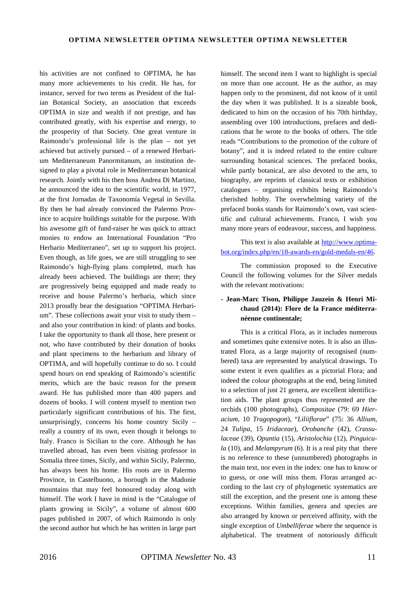his activities are not confined to OPTIMA, he has many more achievements to his credit. He has, for instance, served for two terms as President of the Italian Botanical Society, an association that exceeds OPTIMA in size and wealth if not prestige, and has contributed greatly, with his expertise and energy, to the prosperity of that Society. One great venture in Raimondo's professional life is the plan – not yet achieved but actively pursued – of a renewed Herbarium Mediterraneum Panormitanum, an institution designed to play a pivotal role in Mediterranean botanical research. Jointly with his then boss Andrea Di Martino, he announced the idea to the scientific world, in 1977, at the first Jornadas de Taxonomía Vegetal in Sevilla. By then he had already convinced the Palermo Province to acquire buildings suitable for the purpose. With his awesome gift of fund-raiser he was quick to attract monies to endow an International Foundation "Pro Herbario Mediterraneo", set up to support his project. Even though, as life goes, we are still struggling to see Raimondo's high-flying plans completed, much has already been achieved. The buildings are there; they are progressively being equipped and made ready to receive and house Palermo's herbaria, which since 2013 proudly bear the designation "OPTIMA Herbarium". These collections await your visit to study them – and also your contribution in kind: of plants and books. I take the opportunity to thank all those, here present or not, who have contributed by their donation of books and plant specimens to the herbarium and library of OPTIMA, and will hopefully continue to do so. I could spend hours on end speaking of Raimondo's scientific merits, which are the basic reason for the present award. He has published more than 400 papers and dozens of books. I will content myself to mention two particularly significant contributions of his. The first, unsurprisingly, concerns his home country Sicily – really a country of its own, even though it belongs to Italy. Franco is Sicilian to the core. Although he has travelled abroad, has even been visiting professor in Somalia three times, Sicily, and within Sicily, Palermo, has always been his home. His roots are in Palermo Province, in Castelbuono, a borough in the Madonie mountains that may feel honoured today along with himself. The work I have in mind is the "Catalogue of plants growing in Sicily", a volume of almost 600 pages published in 2007, of which Raimondo is only the second author but which he has written in large part

himself. The second item I want to highlight is special on more than one account. He as the author, as may happen only to the prominent, did not know of it until the day when it was published. It is a sizeable book, dedicated to him on the occasion of his 70th birthday, assembling over 100 introductions, prefaces and dedications that he wrote to the books of others. The title reads "Contributions to the promotion of the culture of botany", and it is indeed related to the entire culture surrounding botanical sciences. The prefaced books, while partly botanical, are also devoted to the arts, to biography, are reprints of classical texts or exhibition catalogues – organising exhibits being Raimondo's cherished hobby. The overwhelming variety of the prefaced books stands for Raimondo's own, vast scientific and cultural achievements. Franco, I wish you many more years of endeavour, success, and happiness.

This text is also available at [http://www.optima](http://www.optima-bot.org/index.php/en/18-awards-en/gold-medals-en/46)[bot.org/index.php/en/18-awards-en/gold-medals-en/46.](http://www.optima-bot.org/index.php/en/18-awards-en/gold-medals-en/46)

The commission proposed to the Executive Council the following volumes for the Silver medals with the relevant motivations:

## **- Jean-Marc Tison, Philippe Jauzein & Henri Michaud (2014): Flore de la France méditerranéenne continentale;**

This is a critical Flora, as it includes numerous and sometimes quite extensive notes. It is also an illustrated Flora, as a large majority of recognised (numbered) taxa are represented by analytical drawings. To some extent it even qualifies as a pictorial Flora; and indeed the colour photographs at the end, being limited to a selection of just 21 genera, are excellent identification aids. The plant groups thus represented are the orchids (100 photographs), *Compositae* (79: 69 *Hieracium*, 10 *Tragopogon*), "*Liliiflorae*" (75: 36 *Allium*, 24 *Tulipa*, 15 *Iridaceae*), *Orobanche* (42), *Crassulaceae* (39), *Opuntia* (15), *Aristolochia* (12), *Pinguicula* (10), and *Melampyrum* (6). It is a real pity that there is no reference to these (unnumbered) photographs in the main text, nor even in the index: one has to know or to guess, or one will miss them. Floras arranged according to the last cry of phylogenetic systematics are still the exception, and the present one is among these exceptions. Within families, genera and species are also arranged by known or perceived affinity, with the single exception of *Umbelliferae* where the sequence is alphabetical. The treatment of notoriously difficult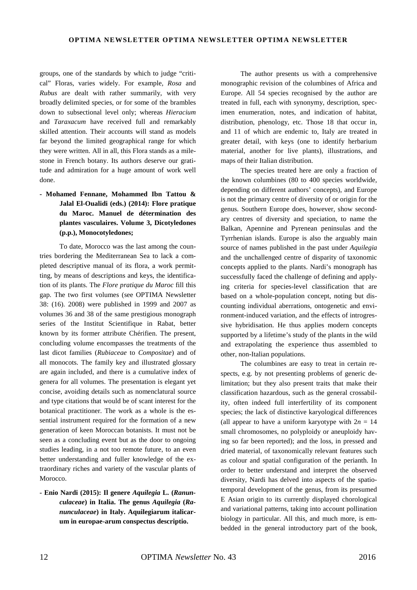groups, one of the standards by which to judge "critical" Floras, varies widely. For example, *Rosa* and *Rubus* are dealt with rather summarily, with very broadly delimited species, or for some of the brambles down to subsectional level only; whereas *Hieracium* and *Taraxacum* have received full and remarkably skilled attention. Their accounts will stand as models far beyond the limited geographical range for which they were written. All in all, this Flora stands as a milestone in French botany. Its authors deserve our gratitude and admiration for a huge amount of work well done.

## **- Mohamed Fennane, Mohammed Ibn Tattou & Jalal El-Oualidi (eds.) (2014): Flore pratique du Maroc. Manuel de détermination des plantes vasculaires. Volume 3, Dicotyledones (p.p.), Monocotyledones;**

To date, Morocco was the last among the countries bordering the Mediterranean Sea to lack a completed descriptive manual of its flora, a work permitting, by means of descriptions and keys, the identification of its plants. The *Flore pratique du Maroc* fill this gap. The two first volumes (see OPTIMA Newsletter 38: (16). 2008) were published in 1999 and 2007 as volumes 36 and 38 of the same prestigious monograph series of the Institut Scientifique in Rabat, better known by its former attribute Chérifien. The present, concluding volume encompasses the treatments of the last dicot families (*Rubiaceae* to *Compositae*) and of all monocots. The family key and illustrated glossary are again included, and there is a cumulative index of genera for all volumes. The presentation is elegant yet concise, avoiding details such as nomenclatural source and type citations that would be of scant interest for the botanical practitioner. The work as a whole is the essential instrument required for the formation of a new generation of keen Moroccan botanists. It must not be seen as a concluding event but as the door to ongoing studies leading, in a not too remote future, to an even better understanding and fuller knowledge of the extraordinary riches and variety of the vascular plants of Morocco.

**- Enio Nardi (2015): Il genere** *Aquilegia* **L. (***Ranunculaceae***) in Italia. The genus** *Aquilegia* **(***Ranunculaceae***) in Italy. Aquilegiarum italicarum in europae-arum conspectus descriptio.**

The author presents us with a comprehensive monographic revision of the columbines of Africa and Europe. All 54 species recognised by the author are treated in full, each with synonymy, description, specimen enumeration, notes, and indication of habitat, distribution, phenology, etc. Those 18 that occur in, and 11 of which are endemic to, Italy are treated in greater detail, with keys (one to identify herbarium material, another for live plants), illustrations, and maps of their Italian distribution.

The species treated here are only a fraction of the known columbines (80 to 400 species worldwide, depending on different authors' concepts), and Europe is not the primary centre of diversity of or origin for the genus. Southern Europe does, however, show secondary centres of diversity and speciation, to name the Balkan, Apennine and Pyrenean peninsulas and the Tyrrhenian islands. Europe is also the arguably main source of names published in the past under *Aquilegia* and the unchallenged centre of disparity of taxonomic concepts applied to the plants. Nardi's monograph has successfully faced the challenge of defining and applying criteria for species-level classification that are based on a whole-population concept, noting but discounting individual aberrations, ontogenetic and environment-induced variation, and the effects of introgressive hybridisation. He thus applies modern concepts supported by a lifetime's study of the plants in the wild and extrapolating the experience thus assembled to other, non-Italian populations.

The columbines are easy to treat in certain respects, e.g. by not presenting problems of generic delimitation; but they also present traits that make their classification hazardous, such as the general crossability, often indeed full interfertility of its component species; the lack of distinctive karyological differences (all appear to have a uniform karyotype with  $2n = 14$ small chromosomes, no polyploidy or aneuploidy having so far been reported); and the loss, in pressed and dried material, of taxonomically relevant features such as colour and spatial configuration of the perianth. In order to better understand and interpret the observed diversity, Nardi has delved into aspects of the spatiotemporal development of the genus, from its presumed E Asian origin to its currently displayed chorological and variational patterns, taking into account pollination biology in particular. All this, and much more, is embedded in the general introductory part of the book,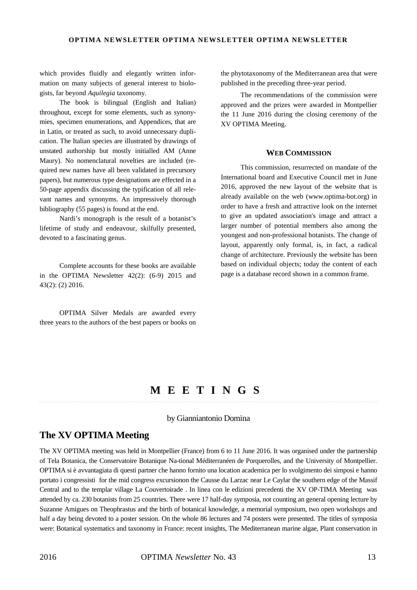which provides fluidly and elegantly written information on many subjects of general interest to biologists, far beyond *Aquilegia* taxonomy.

The book is bilingual (English and Italian) throughout, except for some elements, such as synonymies, specimen enumerations, and Appendices, that are in Latin, or treated as such, to avoid unnecessary duplication. The Italian species are illustrated by drawings of unstated authorship but mostly initialled AM (Anne Maury). No nomenclatural novelties are included (required new names have all been validated in precursory papers), but numerous type designations are effected in a 50-page appendix discussing the typification of all relevant names and synonyms. An impressively thorough bibliography (55 pages) is found at the end.

Nardi's monograph is the result of a botanist's lifetime of study and endeavour, skilfully presented, devoted to a fascinating genus.

Complete accounts for these books are available in the OPTIMA Newsletter 42(2): (6-9) 2015 and 43(2): (2) 2016.

OPTIMA Silver Medals are awarded every three years to the authors of the best papers or books on the phytotaxonomy of the Mediterranean area that were published in the preceding three-year period.

The recommendations of the commission were approved and the prizes were awarded in Montpellier the 11 June 2016 during the closing ceremony of the XV OPTIMA Meeting.

### **WEB COMMISSION**

This commission, resurrected on mandate of the International board and Executive Council met in June 2016, approved the new layout of the website that is already available on the web (www.optima-bot.org) in order to have a fresh and attractive look on the internet to give an updated association's image and attract a larger number of potential members also among the youngest and non-professional botanists. The change of layout, apparently only formal, is, in fact, a radical change of architecture. Previously the website has been based on individual objects; today the content of each page is a database record shown in a common frame.

## **M EETING S**

### by Gianniantonio Domina

## **The XV OPTIMA Meeting**

The XV OPTIMA meeting was held in Montpellier (France) from 6 to 11 June 2016. It was organised under the partnership of Tela Botanica, the Conservatoire Botanique Na-tional Méditerranéen de Porquerolles, and the University of Montpellier. OPTIMA si è avvantagiata di questi partner che hanno fornito una location academica per lo svolgimento dei simposi e hanno portato i congressisti for the mid congress excursionon the Causse du Larzac near Le Caylar the southern edge of the Massif Central and to the templar village La Couvertoirade . In linea con le edizioni precedenti the XV OP-TIMA Meeting was attended by ca. 230 botanists from 25 countries. There were 17 half-day symposia, not counting an general opening lecture by Suzanne Amigues on Theophrastus and the birth of botanical knowledge, a memorial symposium, two open workshops and half a day being devoted to a poster session. On the whole 86 lectures and 74 posters were presented. The titles of symposia were: Botanical systematics and taxonomy in France: recent insights, The Mediterranean marine algae, Plant conservation in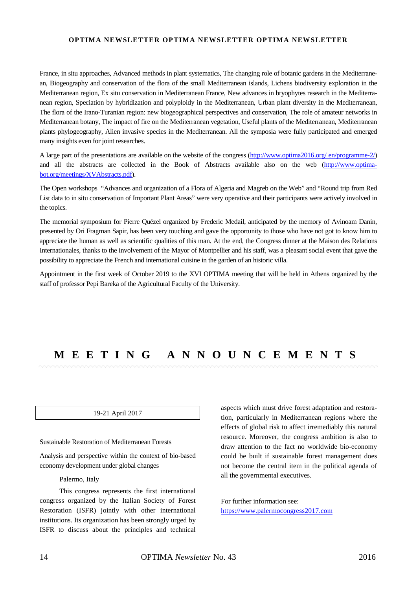### **OPTIMA NEWSLETTER OPTIMA NEWSLETTER OPTIMA NEWSLETTER**

France, in situ approaches, Advanced methods in plant systematics, The changing role of botanic gardens in the Mediterranean, Biogeography and conservation of the flora of the small Mediterranean islands, Lichens biodiversity exploration in the Mediterranean region, Ex situ conservation in Mediterranean France, New advances in bryophytes research in the Mediterranean region, Speciation by hybridization and polyploidy in the Mediterranean, Urban plant diversity in the Mediterranean, The flora of the Irano-Turanian region: new biogeographical perspectives and conservation, The role of amateur networks in Mediterranean botany, The impact of fire on the Mediterranean vegetation, Useful plants of the Mediterranean, Mediterranean plants phylogeography, Alien invasive species in the Mediterranean. All the symposia were fully participated and emerged many insights even for joint researches.

A large part of the presentations are available on the website of the congress [\(http://www.optima2016.org/ en/programme-2/\)](http://www.optima2016.org/en/programme-2/) and all the abstracts are collected in the Book of Abstracts available also on the web [\(http://www.optima](http://www.optima-bot.org/meetings/XVAbstracts.pdf)[bot.org/meetings/XVAbstracts.pdf\)](http://www.optima-bot.org/meetings/XVAbstracts.pdf).

The Open workshops "Advances and organization of a Flora of Algeria and Magreb on the Web" and "Round trip from Red List data to in situ conservation of Important Plant Areas" were very operative and their participants were actively involved in the topics.

The memorial symposium for Pierre Quézel organized by Frederic Medail, anticipated by the memory of Avinoam Danin, presented by Ori Fragman Sapir, has been very touching and gave the opportunity to those who have not got to know him to appreciate the human as well as scientific qualities of this man. At the end, the Congress dinner at the Maison des Relations Internationales, thanks to the involvement of the Mayor of Montpellier and his staff, was a pleasant social event that gave the possibility to appreciate the French and international cuisine in the garden of an historic villa.

Appointment in the first week of October 2019 to the XVI OPTIMA meeting that will be held in Athens organized by the staff of professor Pepi Bareka of the Agricultural Faculty of the University.

## **M EETING ANNOUNCEMENTS**

#### 19-21 April 2017

#### Sustainable Restoration of Mediterranean Forests

Analysis and perspective within the context of bio-based economy development under global changes

#### Palermo, Italy

This congress represents the first international congress organized by the Italian Society of Forest Restoration (ISFR) jointly with other international institutions. Its organization has been strongly urged by ISFR to discuss about the principles and technical

aspects which must drive forest adaptation and restoration, particularly in Mediterranean regions where the effects of global risk to affect irremediably this natural resource. Moreover, the congress ambition is also to draw attention to the fact no worldwide bio-economy could be built if sustainable forest management does not become the central item in the political agenda of all the governmental executives.

For further information see: [https://www.palermocongress2017.com](https://www.palermocongress2017.com/)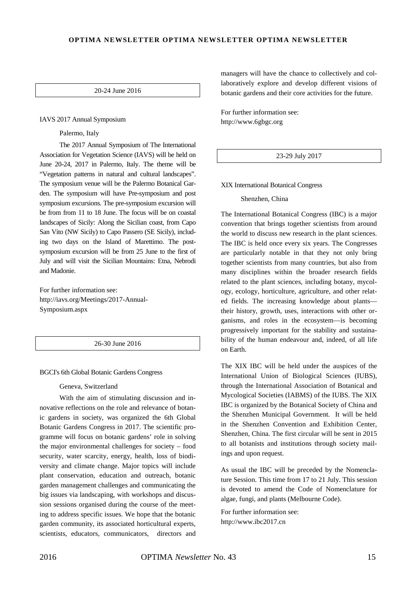### **OPTIMA NEWSLETTER OPTIMA NEWSLETTER OPTIMA NEWSLETTER**

20-24 June 2016

#### IAVS 2017 Annual Symposium

Palermo, Italy

The 2017 Annual Symposium of The International Association for Vegetation Science (IAVS) will be held on June 20-24, 2017 in Palermo, Italy. The theme will be "Vegetation patterns in natural and cultural landscapes". The symposium venue will be the Palermo Botanical Garden. The symposium will have Pre-symposium and post symposium excursions. The pre-symposium excursion will be from from 11 to 18 June. The focus will be on coastal landscapes of Sicily: Along the Sicilian coast, from Capo San Vito (NW Sicily) to Capo Passero (SE Sicily), including two days on the Island of Marettimo. The postsymposium excursion will be from 25 June to the first of July and will visit the Sicilian Mountains: Etna, Nebrodi and Madonie.

For further information see: http://iavs.org/Meetings/2017-Annual-Symposium.aspx

26-30 June 2016

#### BGCI's 6th Global Botanic Gardens Congress

#### Geneva, Switzerland

With the aim of stimulating discussion and innovative reflections on the role and relevance of botanic gardens in society, was organized the 6th Global Botanic Gardens Congress in 2017. The scientific programme will focus on botanic gardens' role in solving the major environmental challenges for society – food security, water scarcity, energy, health, loss of biodiversity and climate change. Major topics will include plant conservation, education and outreach, botanic garden management challenges and communicating the big issues via landscaping, with workshops and discussion sessions organised during the course of the meeting to address specific issues. We hope that the botanic garden community, its associated horticultural experts, scientists, educators, communicators, directors and managers will have the chance to collectively and collaboratively explore and develop different visions of botanic gardens and their core activities for the future.

For further information see: http://www.6gbgc.org

#### 23-29 July 2017

XIX International Botanical Congress

Shenzhen, China

The International Botanical Congress (IBC) is a major convention that brings together scientists from around the world to discuss new research in the plant sciences. The IBC is held once every six years. The Congresses are particularly notable in that they not only bring together scientists from many countries, but also from many disciplines within the broader research fields related to the plant sciences, including botany, mycology, ecology, horticulture, agriculture, and other related fields. The increasing knowledge about plants their history, growth, uses, interactions with other organisms, and roles in the ecosystem—is becoming progressively important for the stability and sustainability of the human endeavour and, indeed, of all life on Earth.

The XIX IBC will be held under the auspices of the International Union of Biological Sciences (IUBS), through the International Association of Botanical and Mycological Societies (IABMS) of the IUBS. The XIX IBC is organized by the Botanical Society of China and the Shenzhen Municipal Government. It will be held in the Shenzhen Convention and Exhibition Center, Shenzhen, China. The first circular will be sent in 2015 to all botanists and institutions through society mailings and upon request.

As usual the IBC will be preceded by the Nomenclature Session. This time from 17 to 21 July. This session is devoted to amend the Code of Nomenclature for algae, fungi, and plants (Melbourne Code).

For further information see: http://www.ibc2017.cn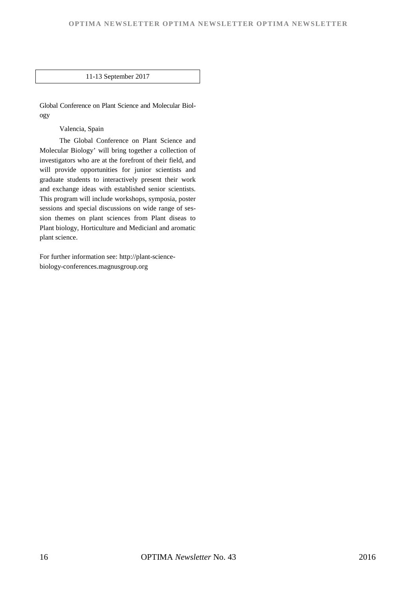### 11-13 September 2017

Global Conference on Plant Science and Molecular Biology

Valencia, Spain

The Global Conference on Plant Science and Molecular Biology' will bring together a collection of investigators who are at the forefront of their field, and will provide opportunities for junior scientists and graduate students to interactively present their work and exchange ideas with established senior scientists. This program will include workshops, symposia, poster sessions and special discussions on wide range of session themes on plant sciences from Plant diseas to Plant biology, Horticulture and Medicianl and aromatic plant science.

For further information see: http://plant-sciencebiology-conferences.magnusgroup.org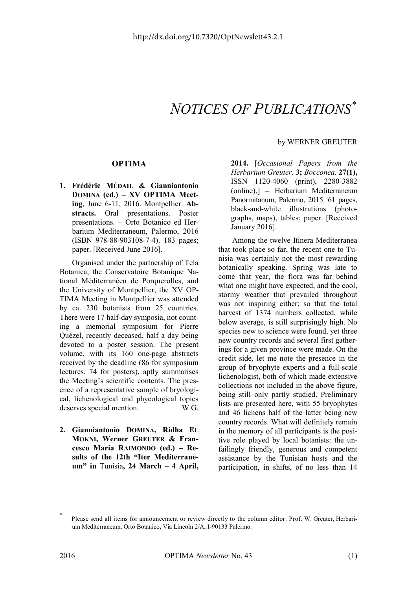# $NOTICES OF PUBLICATIONS^{\ast}$

## **OPTIMA**

**1. Frédéric MÉDAIL & Gianniantonio DOMINA (ed.) – XV OPTIMA Meeting**, June 6-11, 2016. Montpellier. **Abstracts.** Oral presentations. Poster presentations. – Orto Botanico ed Herbarium Mediterraneum, Palermo, 2016 (ISBN 978-88-903108-7-4). 183 pages; paper. [Received June 2016].

Organised under the partnership of Tela Botanica, the Conservatoire Botanique National Méditerranéen de Porquerolles, and the University of Montpellier, the XV OP-TIMA Meeting in Montpellier was attended by ca. 230 botanists from 25 countries. There were 17 half-day symposia, not counting a memorial symposium for Pierre Quézel, recently deceased, half a day being devoted to a poster session. The present volume, with its 160 one-page abstracts received by the deadline (86 for symposium lectures, 74 for posters), aptly summarises the Meeting's scientific contents. The presence of a representative sample of bryological, lichenological and phycological topics deserves special mention. W.G.

**2. Gianniantonio DOMINA, Ridha EL MOKNI, Werner GREUTER & Francesco Maria RAIMONDO (ed.) – Results of the 12th "Iter Mediterraneum" in** Tunisia**, 24 March – 4 April,**

### by WERNER GREUTER

**2014.** [*Occasional Papers from the Herbarium Greuter,* **3;** *Bocconea,* **27(1),** ISSN 1120-4060 (print), 2280-3882 (online).] – Herbarium Mediterraneum Panormitanum, Palermo, 2015. 61 pages, black-and-white illustrations (photographs, maps), tables; paper. [Received January 2016].

Among the twelve Itinera Mediterranea that took place so far, the recent one to Tunisia was certainly not the most rewarding botanically speaking. Spring was late to come that year, the flora was far behind what one might have expected, and the cool, stormy weather that prevailed throughout was not inspiring either; so that the total harvest of 1374 numbers collected, while below average, is still surprisingly high. No species new to science were found, yet three new country records and several first gatherings for a given province were made. On the credit side, let me note the presence in the group of bryophyte experts and a full-scale lichenologist, both of which made extensive collections not included in the above figure, being still only partly studied. Preliminary lists are presented here, with 55 bryophytes and 46 lichens half of the latter being new country records. What will definitely remain in the memory of all participants is the positive role played by local botanists: the unfailingly friendly, generous and competent assistance by the Tunisian hosts and the participation, in shifts, of no less than 14

<sup>\*</sup> Please send all items for announcement or review directly to the column editor: Prof. W. Greuter, Herbarium Mediterraneum, Orto Botanico, Via Lincoln 2/A, I-90133 Palermo.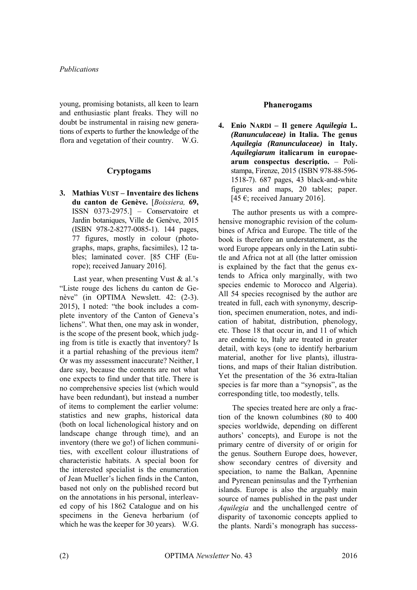## *Publications*

young, promising botanists, all keen to learn and enthusiastic plant freaks. They will no doubt be instrumental in raising new generations of experts to further the knowledge of the flora and vegetation of their country. W.G.

## **Cryptogams**

**3. Mathias VUST – Inventaire des lichens du canton de Genève.** [*Boissiera,* **69,** ISSN 0373-2975.] – Conservatoire et Jardin botaniques, Ville de Genève, 2015 (ISBN 978-2-8277-0085-1). 144 pages, 77 figures, mostly in colour (photographs, maps, graphs, facsimiles), 12 tables; laminated cover. [85 CHF (Europe); received January 2016].

Last year, when presenting Vust & al.'s "Liste rouge des lichens du canton de Genève" (in OPTIMA Newslett. 42: (2-3). 2015), I noted: "the book includes a complete inventory of the Canton of Geneva's lichens". What then, one may ask in wonder, is the scope of the present book, which judging from is title is exactly that inventory? Is it a partial rehashing of the previous item? Or was my assessment inaccurate? Neither, I dare say, because the contents are not what one expects to find under that title. There is no comprehensive species list (which would have been redundant), but instead a number of items to complement the earlier volume: statistics and new graphs, historical data (both on local lichenological history and on landscape change through time), and an inventory (there we go!) of lichen communities, with excellent colour illustrations of characteristic habitats. A special boon for the interested specialist is the enumeration of Jean Mueller's lichen finds in the Canton, based not only on the published record but on the annotations in his personal, interleaved copy of his 1862 Catalogue and on his specimens in the Geneva herbarium (of which he was the keeper for 30 years). W.G.

## **Phanerogams**

**4. Enio NARDI – Il genere** *Aquilegia* **L.**  *(Ranunculaceae)* **in Italia. The genus**  *Aquilegia (Ranunculaceae)* **in Italy.**  *Aquilegiarum* **italicarum in europaearum conspectus descriptio.** – Polistampa, Firenze, 2015 (ISBN 978-88-596- 1518-7). 687 pages, 43 black-and-white figures and maps, 20 tables; paper. [45 $\epsilon$ ; received January 2016].

The author presents us with a comprehensive monographic revision of the columbines of Africa and Europe. The title of the book is therefore an understatement, as the word Europe appears only in the Latin subtitle and Africa not at all (the latter omission is explained by the fact that the genus extends to Africa only marginally, with two species endemic to Morocco and Algeria). All 54 species recognised by the author are treated in full, each with synonymy, description, specimen enumeration, notes, and indication of habitat, distribution, phenology, etc. Those 18 that occur in, and 11 of which are endemic to, Italy are treated in greater detail, with keys (one to identify herbarium material, another for live plants), illustrations, and maps of their Italian distribution. Yet the presentation of the 36 extra-Italian species is far more than a "synopsis", as the corresponding title, too modestly, tells.

The species treated here are only a fraction of the known columbines (80 to 400 species worldwide, depending on different authors' concepts), and Europe is not the primary centre of diversity of or origin for the genus. Southern Europe does, however, show secondary centres of diversity and speciation, to name the Balkan, Apennine and Pyrenean peninsulas and the Tyrrhenian islands. Europe is also the arguably main source of names published in the past under *Aquilegia* and the unchallenged centre of disparity of taxonomic concepts applied to the plants. Nardi's monograph has success-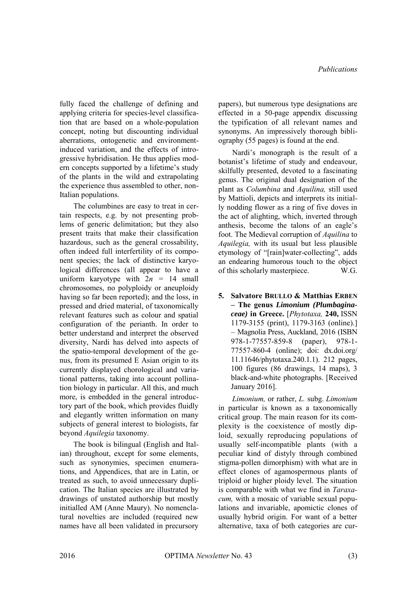fully faced the challenge of defining and applying criteria for species-level classification that are based on a whole-population concept, noting but discounting individual aberrations, ontogenetic and environmentinduced variation, and the effects of introgressive hybridisation. He thus applies modern concepts supported by a lifetime's study of the plants in the wild and extrapolating the experience thus assembled to other, non-Italian populations.

The columbines are easy to treat in certain respects, e.g. by not presenting problems of generic delimitation; but they also present traits that make their classification hazardous, such as the general crossability, often indeed full interfertility of its component species; the lack of distinctive karyological differences (all appear to have a uniform karyotype with 2*n =* 14 small chromosomes, no polyploidy or aneuploidy having so far been reported); and the loss, in pressed and dried material, of taxonomically relevant features such as colour and spatial configuration of the perianth. In order to better understand and interpret the observed diversity, Nardi has delved into aspects of the spatio-temporal development of the genus, from its presumed E Asian origin to its currently displayed chorological and variational patterns, taking into account pollination biology in particular. All this, and much more, is embedded in the general introductory part of the book, which provides fluidly and elegantly written information on many subjects of general interest to biologists, far beyond *Aquilegia* taxonomy.

The book is bilingual (English and Italian) throughout, except for some elements, such as synonymies, specimen enumerations, and Appendices, that are in Latin, or treated as such, to avoid unnecessary duplication. The Italian species are illustrated by drawings of unstated authorship but mostly initialled AM (Anne Maury). No nomenclatural novelties are included (required new names have all been validated in precursory papers), but numerous type designations are effected in a 50-page appendix discussing the typification of all relevant names and synonyms. An impressively thorough bibliography (55 pages) is found at the end.

Nardi's monograph is the result of a botanist's lifetime of study and endeavour, skilfully presented, devoted to a fascinating genus. The original dual designation of the plant as *Columbina* and *Aquilina,* still used by Mattioli, depicts and interprets its initially nodding flower as a ring of five doves in the act of alighting, which, inverted through anthesis, become the talons of an eagle's foot. The Medieval corruption of *Aquilina* to *Aquilegia,* with its usual but less plausible etymology of "[rain]water-collecting", adds an endearing humorous touch to the object of this scholarly masterpiece. W.G.

**5. Salvatore BRULLO & Matthias ERBEN – The genus** *Limonium (Plumbaginaceae)* **in Greece.** [*Phytotaxa,* **240,** ISSN 1179-3155 (print), 1179-3163 (online).] – Magnolia Press, Auckland, 2016 (ISBN 978-1-77557-859-8 (paper), 978-1- 77557-860-4 (online); doi: dx.doi.org/ 11.11646/phytotaxa.240.1.1). 212 pages, 100 figures (86 drawings, 14 maps), 3 black-and-white photographs. [Received January 2016].

*Limonium,* or rather, *L.* subg. *Limonium*  in particular is known as a taxonomically critical group. The main reason for its complexity is the coexistence of mostly diploid, sexually reproducing populations of usually self-incompatible plants (with a peculiar kind of distyly through combined stigma-pollen dimorphism) with what are in effect clones of agamospermous plants of triploid or higher ploidy level. The situation is comparable with what we find in *Taraxacum,* with a mosaic of variable sexual populations and invariable, apomictic clones of usually hybrid origin. For want of a better alternative, taxa of both categories are cur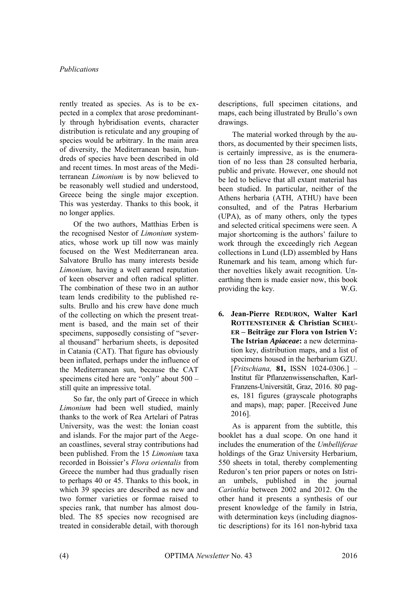rently treated as species. As is to be expected in a complex that arose predominantly through hybridisation events, character distribution is reticulate and any grouping of species would be arbitrary. In the main area of diversity, the Mediterranean basin, hundreds of species have been described in old and recent times. In most areas of the Mediterranean *Limonium* is by now believed to be reasonably well studied and understood, Greece being the single major exception. This was yesterday. Thanks to this book, it no longer applies.

Of the two authors, Matthias Erben is the recognised Nestor of *Limonium* systematics, whose work up till now was mainly focused on the West Mediterranean area. Salvatore Brullo has many interests beside *Limonium,* having a well earned reputation of keen observer and often radical splitter. The combination of these two in an author team lends credibility to the published results. Brullo and his crew have done much of the collecting on which the present treatment is based, and the main set of their specimens, supposedly consisting of "several thousand" herbarium sheets, is deposited in Catania (CAT). That figure has obviously been inflated, perhaps under the influence of the Mediterranean sun, because the CAT specimens cited here are "only" about 500 – still quite an impressive total.

So far, the only part of Greece in which *Limonium* had been well studied, mainly thanks to the work of Rea Artelari of Patras University, was the west: the Ionian coast and islands. For the major part of the Aegean coastlines, several stray contributions had been published. From the 15 *Limonium* taxa recorded in Boissier's *Flora orientalis* from Greece the number had thus gradually risen to perhaps 40 or 45. Thanks to this book, in which 39 species are described as new and two former varieties or formae raised to species rank, that number has almost doubled. The 85 species now recognised are treated in considerable detail, with thorough descriptions, full specimen citations, and maps, each being illustrated by Brullo's own drawings.

The material worked through by the authors, as documented by their specimen lists, is certainly impressive, as is the enumeration of no less than 28 consulted herbaria, public and private. However, one should not be led to believe that all extant material has been studied. In particular, neither of the Athens herbaria (ATH, ATHU) have been consulted, and of the Patras Herbarium (UPA), as of many others, only the types and selected critical specimens were seen. A major shortcoming is the authors' failure to work through the exceedingly rich Aegean collections in Lund (LD) assembled by Hans Runemark and his team, among which further novelties likely await recognition. Unearthing them is made easier now, this book providing the key. W.G.

**6. Jean-Pierre REDURON, Walter Karl ROTTENSTEINER & Christian SCHEU-ER – Beiträge zur Flora von Istrien V: The Istrian** *Apiaceae***:** a new determination key, distribution maps, and a list of specimens housed in the herbarium GZU. [*Fritschiana,* **81,** ISSN 1024-0306.] – Institut für Pflanzenwissenschaften, Karl-Franzens-Universität, Graz, 2016. 80 pages, 181 figures (grayscale photographs and maps), map; paper. [Received June 2016].

As is apparent from the subtitle, this booklet has a dual scope. On one hand it includes the enumeration of the *Umbelliferae* holdings of the Graz University Herbarium, 550 sheets in total, thereby complementing Reduron's ten prior papers or notes on Istrian umbels, published in the journal *Carinthia* between 2002 and 2012. On the other hand it presents a synthesis of our present knowledge of the family in Istria, with determination keys (including diagnostic descriptions) for its 161 non-hybrid taxa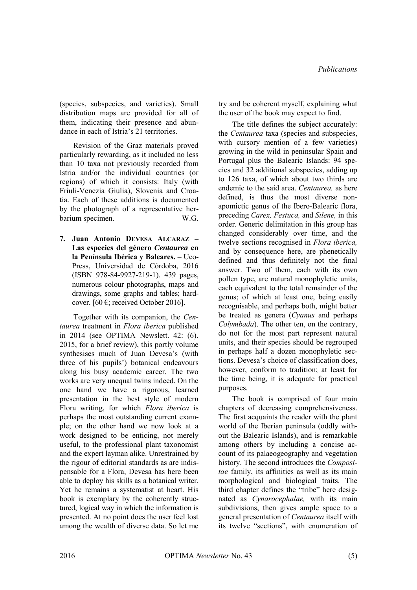(species, subspecies, and varieties). Small distribution maps are provided for all of them, indicating their presence and abundance in each of Istria's 21 territories.

Revision of the Graz materials proved particularly rewarding, as it included no less than 10 taxa not previously recorded from Istria and/or the individual countries (or regions) of which it consists: Italy (with Friuli-Venezia Giulia), Slovenia and Croatia. Each of these additions is documented by the photograph of a representative herbarium specimen. W.G.

**7. Juan Antonio DEVESA ALCARAZ – Las especies del género** *Centaurea* **en la Península Ibérica y Baleares.** – Uco-Press, Universidad de Córdoba, 2016 (ISBN 978-84-9927-219-1). 439 pages, numerous colour photographs, maps and drawings, some graphs and tables; hardcover. [60  $\epsilon$ ; received October 2016].

Together with its companion, the *Centaurea* treatment in *Flora iberica* published in 2014 (see OPTIMA Newslett. 42: (6). 2015, for a brief review), this portly volume synthesises much of Juan Devesa's (with three of his pupils') botanical endeavours along his busy academic career. The two works are very unequal twins indeed. On the one hand we have a rigorous, learned presentation in the best style of modern Flora writing, for which *Flora iberica* is perhaps the most outstanding current example; on the other hand we now look at a work designed to be enticing, not merely useful, to the professional plant taxonomist and the expert layman alike. Unrestrained by the rigour of editorial standards as are indispensable for a Flora, Devesa has here been able to deploy his skills as a botanical writer. Yet he remains a systematist at heart. His book is exemplary by the coherently structured, logical way in which the information is presented. At no point does the user feel lost among the wealth of diverse data. So let me try and be coherent myself, explaining what the user of the book may expect to find.

The title defines the subject accurately: the *Centaurea* taxa (species and subspecies, with cursory mention of a few varieties) growing in the wild in peninsular Spain and Portugal plus the Balearic Islands: 94 species and 32 additional subspecies, adding up to 126 taxa, of which about two thirds are endemic to the said area. *Centaurea,* as here defined, is thus the most diverse nonapomictic genus of the Ibero-Balearic flora, preceding *Carex, Festuca,* and *Silene,* in this order. Generic delimitation in this group has changed considerably over time, and the twelve sections recognised in *Flora iberica,*  and by consequence here, are phenetically defined and thus definitely not the final answer. Two of them, each with its own pollen type, are natural monophyletic units, each equivalent to the total remainder of the genus; of which at least one, being easily recognisable, and perhaps both, might better be treated as genera (*Cyanus* and perhaps *Colymbada*). The other ten, on the contrary, do not for the most part represent natural units, and their species should be regrouped in perhaps half a dozen monophyletic sections. Devesa's choice of classification does, however, conform to tradition; at least for the time being, it is adequate for practical purposes.

The book is comprised of four main chapters of decreasing comprehensiveness. The first acquaints the reader with the plant world of the Iberian peninsula (oddly without the Balearic Islands), and is remarkable among others by including a concise account of its palaeogeography and vegetation history. The second introduces the *Compositae* family, its affinities as well as its main morphological and biological traits. The third chapter defines the "tribe" here designated as *Cynarocephalae,* with its main subdivisions, then gives ample space to a general presentation of *Centaurea* itself with its twelve "sections", with enumeration of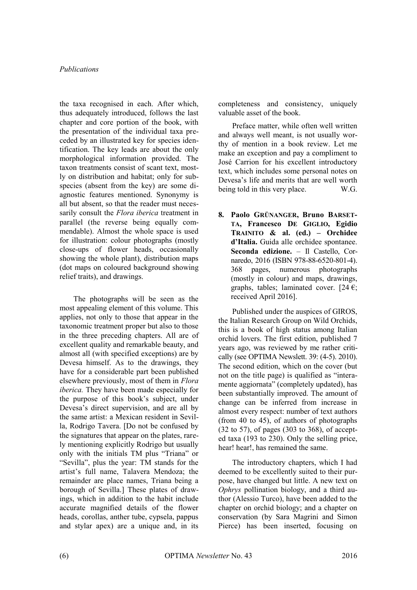the taxa recognised in each. After which, thus adequately introduced, follows the last chapter and core portion of the book, with the presentation of the individual taxa preceded by an illustrated key for species identification. The key leads are about the only morphological information provided. The taxon treatments consist of scant text, mostly on distribution and habitat; only for subspecies (absent from the key) are some diagnostic features mentioned. Synonymy is all but absent, so that the reader must necessarily consult the *Flora iberica* treatment in parallel (the reverse being equally commendable). Almost the whole space is used for illustration: colour photographs (mostly close-ups of flower heads, occasionally showing the whole plant), distribution maps (dot maps on coloured background showing relief traits), and drawings.

The photographs will be seen as the most appealing element of this volume. This applies, not only to those that appear in the taxonomic treatment proper but also to those in the three preceding chapters. All are of excellent quality and remarkable beauty, and almost all (with specified exceptions) are by Devesa himself. As to the drawings, they have for a considerable part been published elsewhere previously, most of them in *Flora iberica.* They have been made especially for the purpose of this book's subject, under Devesa's direct supervision, and are all by the same artist: a Mexican resident in Sevilla, Rodrigo Tavera. [Do not be confused by the signatures that appear on the plates, rarely mentioning explicitly Rodrigo but usually only with the initials TM plus "Triana" or "Sevilla", plus the year: TM stands for the artist's full name, Talavera Mendoza; the remainder are place names, Triana being a borough of Sevilla.] These plates of drawings, which in addition to the habit include accurate magnified details of the flower heads, corollas, anther tube, cypsela, pappus and stylar apex) are a unique and, in its

completeness and consistency, uniquely valuable asset of the book.

Preface matter, while often well written and always well meant, is not usually worthy of mention in a book review. Let me make an exception and pay a compliment to José Carrion for his excellent introductory text, which includes some personal notes on Devesa's life and merits that are well worth<br>heing told in this very place WG being told in this very place.

**8. Paolo GRÜNANGER, Bruno BARSET-TA, Francesco DE GIGLIO, Egidio TRAINITO & al. (ed.) – Orchidee d'Italia.** Guida alle orchidee spontanee. **Seconda edizione.** – Il Castello, Cornaredo, 2016 (ISBN 978-88-6520-801-4). 368 pages, numerous photographs (mostly in colour) and maps, drawings, graphs, tables; laminated cover. [24  $\epsilon$ ; received April 2016].

Published under the auspices of GIROS, the Italian Research Group on Wild Orchids, this is a book of high status among Italian orchid lovers. The first edition, published 7 years ago, was reviewed by me rather critically (see OPTIMA Newslett. 39: (4-5). 2010). The second edition, which on the cover (but not on the title page) is qualified as "interamente aggiornata" (completely updated), has been substantially improved. The amount of change can be inferred from increase in almost every respect: number of text authors (from 40 to 45), of authors of photographs (32 to 57), of pages (303 to 368), of accepted taxa (193 to 230). Only the selling price, hear! hear!, has remained the same.

The introductory chapters, which I had deemed to be excellently suited to their purpose, have changed but little. A new text on *Ophrys* pollination biology, and a third author (Alessio Turco), have been added to the chapter on orchid biology; and a chapter on conservation (by Sara Magrini and Simon Pierce) has been inserted, focusing on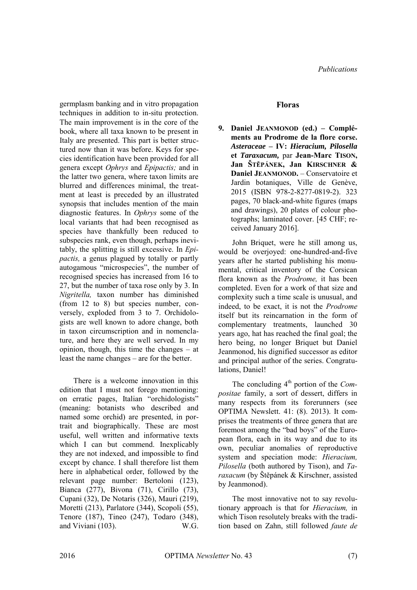germplasm banking and in vitro propagation techniques in addition to in-situ protection. The main improvement is in the core of the book, where all taxa known to be present in Italy are presented. This part is better structured now than it was before. Keys for species identification have been provided for all genera except *Ophrys* and *Epipactis;* and in the latter two genera, where taxon limits are blurred and differences minimal, the treatment at least is preceded by an illustrated synopsis that includes mention of the main diagnostic features. In *Ophrys* some of the local variants that had been recognised as species have thankfully been reduced to subspecies rank, even though, perhaps inevitably, the splitting is still excessive. In *Epipactis,* a genus plagued by totally or partly autogamous "microspecies", the number of recognised species has increased from 16 to 27, but the number of taxa rose only by 3. In *Nigritella,* taxon number has diminished (from 12 to 8) but species number, conversely, exploded from 3 to 7. Orchidologists are well known to adore change, both in taxon circumscription and in nomenclature, and here they are well served. In my opinion, though, this time the changes – at least the name changes – are for the better.

There is a welcome innovation in this edition that I must not forego mentioning: on erratic pages, Italian "orchidologists" (meaning: botanists who described and named some orchid) are presented, in portrait and biographically. These are most useful, well written and informative texts which I can but commend. Inexplicably they are not indexed, and impossible to find except by chance. I shall therefore list them here in alphabetical order, followed by the relevant page number: Bertoloni (123), Bianca (277), Bivona (71), Cirillo (73), Cupani (32), De Notaris (326), Mauri (219), Moretti (213), Parlatore (344), Scopoli (55), Tenore (187), Tineo (247), Todaro (348), and Viviani (103). W.G.

## **Floras**

**9. Daniel JEANMONOD (ed.) – Compléments au Prodrome de la flore corse.**  *Asteraceae* **– IV:** *Hieracium, Pilosella* **et** *Taraxacum,* par **Jean-Marc TISON, Jan ŠTĚPÁNEK, Jan KIRSCHNER & Daniel JEANMONOD.** – Conservatoire et Jardin botaniques, Ville de Genève, 2015 (ISBN 978-2-8277-0819-2). 323 pages, 70 black-and-white figures (maps and drawings), 20 plates of colour photographs; laminated cover. [45 CHF; received January 2016].

John Briquet, were he still among us, would be overjoyed: one-hundred-and-five years after he started publishing his monumental, critical inventory of the Corsican flora known as the *Prodrome,* it has been completed. Even for a work of that size and complexity such a time scale is unusual, and indeed, to be exact, it is not the *Prodrome*  itself but its reincarnation in the form of complementary treatments, launched 30 years ago, hat has reached the final goal; the hero being, no longer Briquet but Daniel Jeanmonod, his dignified successor as editor and principal author of the series. Congratulations, Daniel!

The concluding  $4^{\text{th}}$  portion of the *Compositae* family, a sort of dessert, differs in many respects from its forerunners (see OPTIMA Newslett. 41: (8). 2013). It comprises the treatments of three genera that are foremost among the "bad boys" of the European flora, each in its way and due to its own, peculiar anomalies of reproductive system and speciation mode: *Hieracium, Pilosella* (both authored by Tison), and *Taraxacum* (by Štěpánek & Kirschner, assisted by Jeanmonod).

The most innovative not to say revolutionary approach is that for *Hieracium,* in which Tison resolutely breaks with the tradition based on Zahn, still followed *faute de*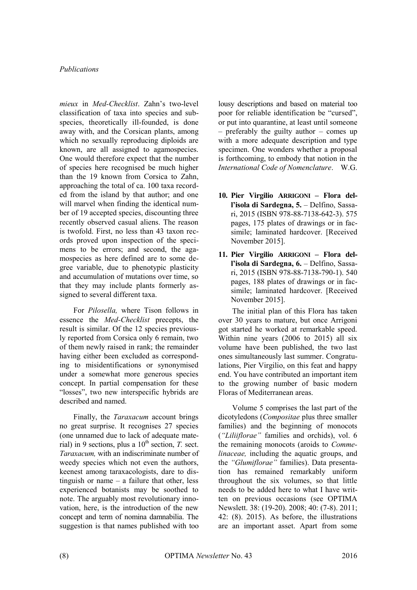*mieux* in *Med-Checklist*. Zahn's two-level classification of taxa into species and subspecies, theoretically ill-founded, is done away with, and the Corsican plants, among which no sexually reproducing diploids are known, are all assigned to agamospecies. One would therefore expect that the number of species here recognised be much higher than the 19 known from Corsica to Zahn, approaching the total of ca. 100 taxa recorded from the island by that author; and one will marvel when finding the identical number of 19 accepted species, discounting three recently observed casual aliens. The reason is twofold. First, no less than 43 taxon records proved upon inspection of the specimens to be errors; and second, the agamospecies as here defined are to some degree variable, due to phenotypic plasticity and accumulation of mutations over time, so that they may include plants formerly assigned to several different taxa.

For *Pilosella,* where Tison follows in essence the *Med-Checklist* precepts, the result is similar. Of the 12 species previously reported from Corsica only 6 remain, two of them newly raised in rank; the remainder having either been excluded as corresponding to misidentifications or synonymised under a somewhat more generous species concept. In partial compensation for these "losses", two new interspecific hybrids are described and named.

Finally, the *Taraxacum* account brings no great surprise. It recognises 27 species (one unnamed due to lack of adequate material) in 9 sections, plus a  $10<sup>th</sup>$  section, *T.* sect. *Taraxacum,* with an indiscriminate number of weedy species which not even the authors, keenest among taraxacologists, dare to distinguish or name – a failure that other, less experienced botanists may be soothed to note. The arguably most revolutionary innovation, here, is the introduction of the new concept and term of nomina damnabilia. The suggestion is that names published with too lousy descriptions and based on material too poor for reliable identification be "cursed", or put into quarantine, at least until someone – preferably the guilty author – comes up with a more adequate description and type specimen. One wonders whether a proposal is forthcoming, to embody that notion in the *International Code of Nomenclature*. W.G.

- **10. Pier Virgilio ARRIGONI Flora dell'isola di Sardegna, 5.** – Delfino, Sassari, 2015 (ISBN 978-88-7138-642-3). 575 pages, 175 plates of drawings or in facsimile; laminated hardcover. [Received November 2015].
- **11. Pier Virgilio ARRIGONI Flora dell'isola di Sardegna, 6.** – Delfino, Sassari, 2015 (ISBN 978-88-7138-790-1). 540 pages, 188 plates of drawings or in facsimile; laminated hardcover. [Received November 2015].

The initial plan of this Flora has taken over 30 years to mature, but once Arrigoni got started he worked at remarkable speed. Within nine years (2006 to 2015) all six volume have been published, the two last ones simultaneously last summer. Congratulations, Pier Virgilio, on this feat and happy end. You have contributed an important item to the growing number of basic modern Floras of Mediterranean areas.

Volume 5 comprises the last part of the dicotyledons (*Compositae* plus three smaller families) and the beginning of monocots (*"Liliiflorae"* families and orchids), vol. 6 the remaining monocots (aroids to *Commelinaceae,* including the aquatic groups, and the *"Glumiflorae"* families). Data presentation has remained remarkably uniform throughout the six volumes, so that little needs to be added here to what I have written on previous occasions (see OPTIMA Newslett. 38: (19-20). 2008; 40: (7-8). 2011; 42: (8). 2015). As before, the illustrations are an important asset. Apart from some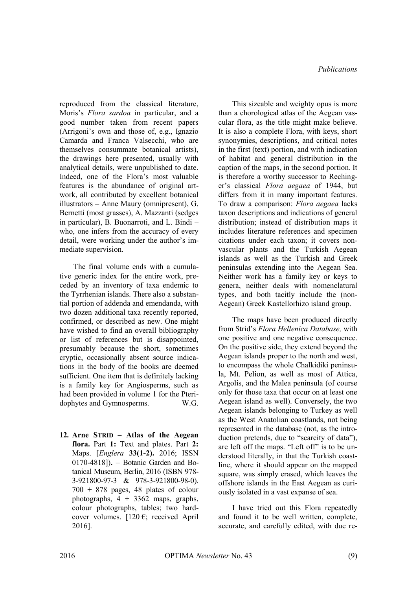reproduced from the classical literature, Moris's *Flora sardoa* in particular, and a good number taken from recent papers (Arrigoni's own and those of, e.g., Ignazio Camarda and Franca Valsecchi, who are themselves consummate botanical artists), the drawings here presented, usually with analytical details, were unpublished to date. Indeed, one of the Flora's most valuable features is the abundance of original artwork, all contributed by excellent botanical illustrators – Anne Maury (omnipresent), G. Bernetti (most grasses), A. Mazzanti (sedges in particular), B. Buonarroti, and L. Bindi – who, one infers from the accuracy of every detail, were working under the author's immediate supervision.

The final volume ends with a cumulative generic index for the entire work, preceded by an inventory of taxa endemic to the Tyrrhenian islands. There also a substantial portion of addenda and emendanda, with two dozen additional taxa recently reported, confirmed, or described as new. One might have wished to find an overall bibliography or list of references but is disappointed, presumably because the short, sometimes cryptic, occasionally absent source indications in the body of the books are deemed sufficient. One item that is definitely lacking is a family key for Angiosperms, such as had been provided in volume 1 for the Pteridophytes and Gymnosperms. W.G.

**12. Arne STRID – Atlas of the Aegean flora.** Part **1:** Text and plates. Part **2:**  Maps. [*Englera* **33(1-2).** 2016; ISSN 0170-4818])**.** – Botanic Garden and Botanical Museum, Berlin, 2016 (ISBN 978- 3-921800-97-3 & 978-3-921800-98-0). 700 + 878 pages, 48 plates of colour photographs,  $4 + 3362$  maps, graphs, colour photographs, tables; two hardcover volumes. [120  $\epsilon$ ; received April 2016].

This sizeable and weighty opus is more than a chorological atlas of the Aegean vascular flora, as the title might make believe. It is also a complete Flora, with keys, short synonymies, descriptions, and critical notes in the first (text) portion, and with indication of habitat and general distribution in the caption of the maps, in the second portion. It is therefore a worthy successor to Rechinger's classical *Flora aegaea* of 1944, but differs from it in many important features. To draw a comparison: *Flora aegaea* lacks taxon descriptions and indications of general distribution; instead of distribution maps it includes literature references and specimen citations under each taxon; it covers nonvascular plants and the Turkish Aegean islands as well as the Turkish and Greek peninsulas extending into the Aegean Sea. Neither work has a family key or keys to genera, neither deals with nomenclatural types, and both tacitly include the (non-Aegean) Greek Kastellorhizo island group.

The maps have been produced directly from Strid's *Flora Hellenica Database,* with one positive and one negative consequence. On the positive side, they extend beyond the Aegean islands proper to the north and west, to encompass the whole Chalkidiki peninsula, Mt. Pelion, as well as most of Attica, Argolis, and the Malea peninsula (of course only for those taxa that occur on at least one Aegean island as well). Conversely, the two Aegean islands belonging to Turkey as well as the West Anatolian coastlands, not being represented in the database (not, as the introduction pretends, due to "scarcity of data"), are left off the maps. "Left off" is to be understood literally, in that the Turkish coastline, where it should appear on the mapped square, was simply erased, which leaves the offshore islands in the East Aegean as curiously isolated in a vast expanse of sea.

I have tried out this Flora repeatedly and found it to be well written, complete, accurate, and carefully edited, with due re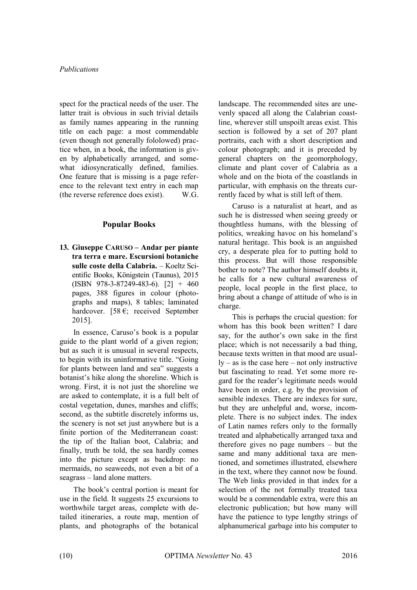spect for the practical needs of the user. The latter trait is obvious in such trivial details as family names appearing in the running title on each page: a most commendable (even though not generally fololowed) practice when, in a book, the information is given by alphabetically arranged, and somewhat idiosyncratically defined, families. One feature that is missing is a page reference to the relevant text entry in each map (the reverse reference does exist). W.G.

## **Popular Books**

**13. Giuseppe CARUSO – Andar per piante tra terra e mare. Escursioni botaniche sulle coste della Calabria.** – Koeltz Scientific Books, Königstein (Taunus), 2015  $(ISBN 978-3-87249-483-6)$ .  $[2] + 460$ pages, 388 figures in colour (photographs and maps), 8 tables; laminated hardcover. [58 $\epsilon$ ; received September 2015].

In essence, Caruso's book is a popular guide to the plant world of a given region; but as such it is unusual in several respects, to begin with its uninformative title. "Going for plants between land and sea" suggests a botanist's hike along the shoreline. Which is wrong. First, it is not just the shoreline we are asked to contemplate, it is a full belt of costal vegetation, dunes, marshes and cliffs; second, as the subtitle discretely informs us, the scenery is not set just anywhere but is a finite portion of the Mediterranean coast: the tip of the Italian boot, Calabria; and finally, truth be told, the sea hardly comes into the picture except as backdrop: no mermaids, no seaweeds, not even a bit of a seagrass – land alone matters.

The book's central portion is meant for use in the field. It suggests 25 excursions to worthwhile target areas, complete with detailed itineraries, a route map, mention of plants, and photographs of the botanical landscape. The recommended sites are unevenly spaced all along the Calabrian coastline, wherever still unspoilt areas exist. This section is followed by a set of 207 plant portraits, each with a short description and colour photograph; and it is preceded by general chapters on the geomorphology, climate and plant cover of Calabria as a whole and on the biota of the coastlands in particular, with emphasis on the threats currently faced by what is still left of them.

Caruso is a naturalist at heart, and as such he is distressed when seeing greedy or thoughtless humans, with the blessing of politics, wreaking havoc on his homeland's natural heritage. This book is an anguished cry, a desperate plea for to putting hold to this process. But will those responsible bother to note? The author himself doubts it, he calls for a new cultural awareness of people, local people in the first place, to bring about a change of attitude of who is in charge.

This is perhaps the crucial question: for whom has this book been written? I dare say, for the author's own sake in the first place; which is not necessarily a bad thing, because texts written in that mood are usual $ly - as$  is the case here – not only instructive but fascinating to read. Yet some more regard for the reader's legitimate needs would have been in order, e.g. by the provision of sensible indexes. There are indexes for sure, but they are unhelpful and, worse, incomplete. There is no subject index. The index of Latin names refers only to the formally treated and alphabetically arranged taxa and therefore gives no page numbers – but the same and many additional taxa are mentioned, and sometimes illustrated, elsewhere in the text, where they cannot now be found. The Web links provided in that index for a selection of the not formally treated taxa would be a commendable extra, were this an electronic publication; but how many will have the patience to type lengthy strings of alphanumerical garbage into his computer to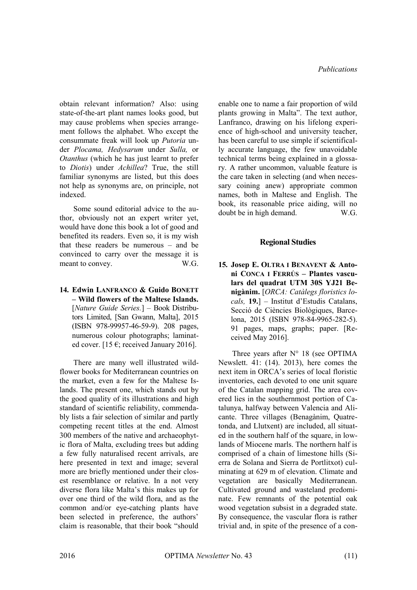obtain relevant information? Also: using state-of-the-art plant names looks good, but may cause problems when species arrangement follows the alphabet. Who except the consummate freak will look up *Putoria* under *Plocama, Hedysarum* under *Sulla,* or *Otanthus* (which he has just learnt to prefer to *Diotis*) under *Achillea*? True, the still familiar synonyms are listed, but this does not help as synonyms are, on principle, not indexed.

Some sound editorial advice to the author, obviously not an expert writer yet, would have done this book a lot of good and benefited its readers. Even so, it is my wish that these readers be numerous – and be convinced to carry over the message it is meant to convey. W.G.

**14. Edwin LANFRANCO & Guido BONETT – Wild flowers of the Maltese Islands.** [*Nature Guide Series.*] – Book Distributors Limited, [San Gwann, Malta], 2015 (ISBN 978-99957-46-59-9). 208 pages, numerous colour photographs; laminated cover. [15  $\epsilon$ ; received January 2016].

There are many well illustrated wildflower books for Mediterranean countries on the market, even a few for the Maltese Islands. The present one, which stands out by the good quality of its illustrations and high standard of scientific reliability, commendably lists a fair selection of similar and partly competing recent titles at the end. Almost 300 members of the native and archaeophytic flora of Malta, excluding trees but adding a few fully naturalised recent arrivals, are here presented in text and image; several more are briefly mentioned under their closest resemblance or relative. In a not very diverse flora like Malta's this makes up for over one third of the wild flora, and as the common and/or eye-catching plants have been selected in preference, the authors' claim is reasonable, that their book "should enable one to name a fair proportion of wild plants growing in Malta". The text author, Lanfranco, drawing on his lifelong experience of high-school and university teacher, has been careful to use simple if scientifically accurate language, the few unavoidable technical terms being explained in a glossary. A rather uncommon, valuable feature is the care taken in selecting (and when necessary coining anew) appropriate common names, both in Maltese and English. The book, its reasonable price aiding, will no<br>doubt be in high demand  $\mathbf{W}$  G doubt be in high demand.

## **Regional Studies**

**15. Josep E. OLTRA I BENAVENT & Antoni CONCA I FERRÚS – Plantes vasculars del quadrat UTM 30S YJ21 Benigànim.** [*ORCA: Catàlegs floristics locals,* **19.**] – Institut d'Estudis Catalans, Secció de Ciències Biològiques, Barcelona, 2015 (ISBN 978-84-9965-282-5). 91 pages, maps, graphs; paper. [Received May 2016].

Three years after  $N^{\circ}$  18 (see OPTIMA Newslett. 41: (14). 2013), here comes the next item in ORCA's series of local floristic inventories, each devoted to one unit square of the Catalan mapping grid. The area covered lies in the southernmost portion of Catalunya, halfway between Valencia and Alicante. Three villages (Benagànim, Quatretonda, and Llutxent) are included, all situated in the southern half of the square, in lowlands of Miocene marls. The northern half is comprised of a chain of limestone hills (Sierra de Solana and Sierra de Portlitxot) culminating at 629 m of elevation. Climate and vegetation are basically Mediterranean. Cultivated ground and wasteland predominate. Few remnants of the potential oak wood vegetation subsist in a degraded state. By consequence, the vascular flora is rather trivial and, in spite of the presence of a con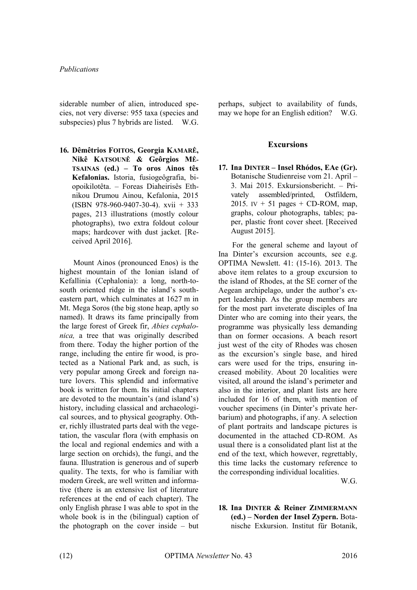siderable number of alien, introduced species, not very diverse: 955 taxa (species and subspecies) plus 7 hybrids are listed. W.G.

**16. Dêmêtrios FOITOS, Georgia KAMARÊ, Nikê KATSOUNÊ & Geôrgios MÊ-TSAINAS (ed.) – To oros Ainos tês Kefalonias.** Istoria, fusiogeôgrafia, biopoikilotêta. – Foreas Diaheirisês Ethnikou Drumou Ainou, Kefalonia, 2015 (ISBN 978-960-9407-30-4). xvii + 333 pages, 213 illustrations (mostly colour photographs), two extra foldout colour maps; hardcover with dust jacket. [Received April 2016].

Mount Ainos (pronounced Enos) is the highest mountain of the Ionian island of Kefallinia (Cephalonia): a long, north-tosouth oriented ridge in the island's southeastern part, which culminates at 1627 m in Mt. Mega Soros (the big stone heap, aptly so named). It draws its fame principally from the large forest of Greek fir, *Abies cephalonica,* a tree that was originally described from there. Today the higher portion of the range, including the entire fir wood, is protected as a National Park and, as such, is very popular among Greek and foreign nature lovers. This splendid and informative book is written for them. Its initial chapters are devoted to the mountain's (and island's) history, including classical and archaeological sources, and to physical geography. Other, richly illustrated parts deal with the vegetation, the vascular flora (with emphasis on the local and regional endemics and with a large section on orchids), the fungi, and the fauna. Illustration is generous and of superb quality. The texts, for who is familiar with modern Greek, are well written and informative (there is an extensive list of literature references at the end of each chapter). The only English phrase I was able to spot in the whole book is in the (bilingual) caption of the photograph on the cover inside – but perhaps, subject to availability of funds, may we hope for an English edition? W.G.

## **Excursions**

**17. Ina DINTER – Insel Rhódos, EAe (Gr).** Botanische Studienreise vom 21. April – 3. Mai 2015. Exkursionsbericht. – Privately assembled/printed, Ostfildern, 2015. IV  $+$  51 pages  $+$  CD-ROM, map, graphs, colour photographs, tables; paper, plastic front cover sheet. [Received August 2015].

For the general scheme and layout of Ina Dinter's excursion accounts, see e.g. OPTIMA Newslett. 41: (15-16). 2013. The above item relates to a group excursion to the island of Rhodes, at the SE corner of the Aegean archipelago, under the author's expert leadership. As the group members are for the most part inveterate disciples of Ina Dinter who are coming into their years, the programme was physically less demanding than on former occasions. A beach resort just west of the city of Rhodes was chosen as the excursion's single base, and hired cars were used for the trips, ensuring increased mobility. About 20 localities were visited, all around the island's perimeter and also in the interior, and plant lists are here included for 16 of them, with mention of voucher specimens (in Dinter's private herbarium) and photographs, if any. A selection of plant portraits and landscape pictures is documented in the attached CD-ROM. As usual there is a consolidated plant list at the end of the text, which however, regrettably, this time lacks the customary reference to the corresponding individual localities.

W.G.

**18. Ina DINTER & Reiner ZIMMERMANN (ed.) – Norden der Insel Zypern.** Botanische Exkursion. Institut für Botanik,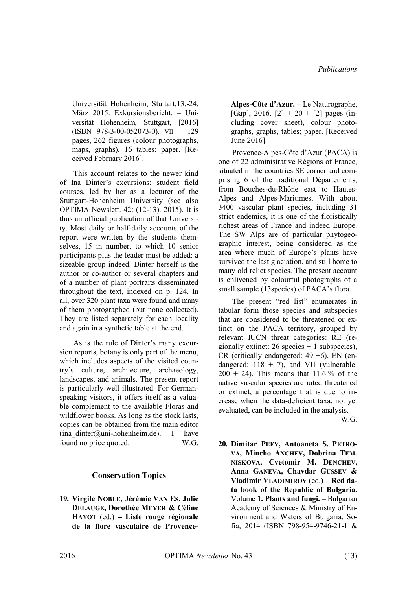Universität Hohenheim, Stuttart,13.-24. März 2015. Exkursionsbericht. – Universität Hohenheim, Stuttgart, [2016] (ISBN 978-3-00-052073-0). VII + 129 pages, 262 figures (colour photographs, maps, graphs), 16 tables; paper. [Received February 2016].

This account relates to the newer kind of Ina Dinter's excursions: student field courses, led by her as a lecturer of the Stuttgart-Hohenheim University (see also OPTIMA Newslett. 42: (12-13). 2015). It is thus an official publication of that University. Most daily or half-daily accounts of the report were written by the students themselves, 15 in number, to which 10 senior participants plus the leader must be added: a sizeable group indeed. Dinter herself is the author or co-author or several chapters and of a number of plant portraits disseminated throughout the text, indexed on p. 124. In all, over 320 plant taxa were found and many of them photographed (but none collected). They are listed separately for each locality and again in a synthetic table at the end.

As is the rule of Dinter's many excursion reports, botany is only part of the menu, which includes aspects of the visited country's culture, architecture, archaeology, landscapes, and animals. The present report is particularly well illustrated. For Germanspeaking visitors, it offers itself as a valuable complement to the available Floras and wildflower books. As long as the stock lasts, copies can be obtained from the main editor  $(ina\ dinter@uni-hohenheim.de).$  I have found no price quoted. W.G.

## **Conservation Topics**

**19. Virgile NOBLE, Jérémie VAN ES, Julie DELAUGE, Dorothée MEYER & Céline HAYOT** (ed.) **– Liste rouge régionale de la flore vasculaire de Provence-** **Alpes-Côte d'Azur.** – Le Naturographe, [Gap], 2016. [2] + 20 + [2] pages (including cover sheet), colour photographs, graphs, tables; paper. [Received June 2016].

Provence-Alpes-Côte d'Azur (PACA) is one of 22 administrative Régions of France, situated in the countries SE corner and comprising 6 of the traditional Départements, from Bouches-du-Rhône east to Hautes-Alpes and Alpes-Maritimes. With about 3400 vascular plant species, including 31 strict endemics, it is one of the floristically richest areas of France and indeed Europe. The SW Alps are of particular phytogeographic interest, being considered as the area where much of Europe's plants have survived the last glaciation, and still home to many old relict species. The present account is enlivened by colourful photographs of a small sample (13species) of PACA's flora.

The present "red list" enumerates in tabular form those species and subspecies that are considered to be threatened or extinct on the PACA territory, grouped by relevant IUCN threat categories: RE (regionally extinct:  $26$  species  $+ 1$  subspecies), CR (critically endangered:  $49 + 6$ ), EN (endangered:  $118 + 7$ ), and VU (vulnerable:  $200 + 24$ ). This means that 11.6% of the native vascular species are rated threatened or extinct, a percentage that is due to increase when the data-deficient taxa, not yet evaluated, can be included in the analysis.

W.G.

**20. Dimitar PEEV, Antoaneta S. PETRO-VA, Mincho ANCHEV, Dobrina TEM-NISKOVA, Cvetomir M. DENCHEV, Anna GANEVA, Chavdar GUSSEV & Vladimir VLADIMIROV** (ed.) **– Red data book of the Republic of Bulgaria.**  Volume **1. Plants and fungi.** – Bulgarian Academy of Sciences & Ministry of Environment and Waters of Bulgaria, Sofia, 2014 (ISBN 798-954-9746-21-1 &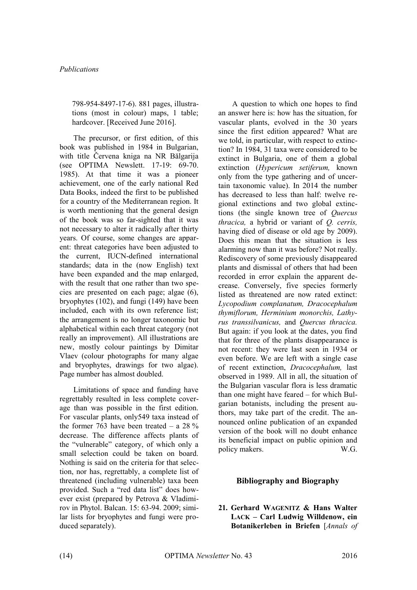798-954-8497-17-6). 881 pages, illustrations (most in colour) maps, 1 table; hardcover. [Received June 2016].

The precursor, or first edition, of this book was published in 1984 in Bulgarian, with title Červena kniga na NR Bălgarija (see OPTIMA Newslett. 17-19: 69-70. 1985). At that time it was a pioneer achievement, one of the early national Red Data Books, indeed the first to be published for a country of the Mediterranean region. It is worth mentioning that the general design of the book was so far-sighted that it was not necessary to alter it radically after thirty years. Of course, some changes are apparent: threat categories have been adjusted to the current, IUCN-defined international standards; data in the (now English) text have been expanded and the map enlarged, with the result that one rather than two species are presented on each page; algae (6), bryophytes (102), and fungi (149) have been included, each with its own reference list; the arrangement is no longer taxonomic but alphabetical within each threat category (not really an improvement). All illustrations are new, mostly colour paintings by Dimitar Vlaev (colour photographs for many algae and bryophytes, drawings for two algae). Page number has almost doubled.

Limitations of space and funding have regrettably resulted in less complete coverage than was possible in the first edition. For vascular plants, only549 taxa instead of the former 763 have been treated  $-$  a 28 % decrease. The difference affects plants of the "vulnerable" category, of which only a small selection could be taken on board. Nothing is said on the criteria for that selection, nor has, regrettably, a complete list of threatened (including vulnerable) taxa been provided. Such a "red data list" does however exist (prepared by Petrova & Vladimirov in Phytol. Balcan. 15: 63-94. 2009; similar lists for bryophytes and fungi were produced separately).

A question to which one hopes to find an answer here is: how has the situation, for vascular plants, evolved in the 30 years since the first edition appeared? What are we told, in particular, with respect to extinction? In 1984, 31 taxa were considered to be extinct in Bulgaria, one of them a global extinction (*Hypericum setiferum,* known only from the type gathering and of uncertain taxonomic value). In 2014 the number has decreased to less than half: twelve regional extinctions and two global extinctions (the single known tree of *Quercus thracica,* a hybrid or variant of *Q. cerris,*  having died of disease or old age by 2009). Does this mean that the situation is less alarming now than it was before? Not really. Rediscovery of some previously disappeared plants and dismissal of others that had been recorded in error explain the apparent decrease. Conversely, five species formerly listed as threatened are now rated extinct: *Lycopodium complanatum, Dracocephalum thymiflorum, Herminium monorchis, Lathyrus transsilvanicus,* and *Quercus thracica.*  But again: if you look at the dates, you find that for three of the plants disappearance is not recent: they were last seen in 1934 or even before. We are left with a single case of recent extinction, *Dracocephalum,* last observed in 1989. All in all, the situation of the Bulgarian vascular flora is less dramatic than one might have feared – for which Bulgarian botanists, including the present authors, may take part of the credit. The announced online publication of an expanded version of the book will no doubt enhance its beneficial impact on public opinion and policy makers. W.G.

## **Bibliography and Biography**

**21. Gerhard WAGENITZ & Hans Walter LACK – Carl Ludwig Willdenow, ein Botanikerleben in Briefen** [*Annals of*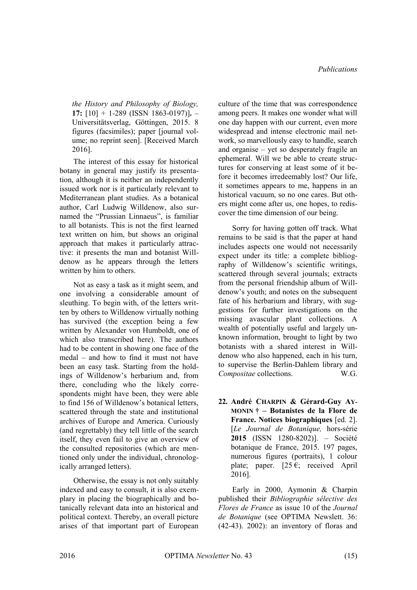*the History and Philosophy of Biology,*  **17:** [10] + 1-289 (ISSN 1863-0197)]**.** – Universitätsverlag, Göttingen, 2015. 8 figures (facsimiles); paper [journal volume; no reprint seen]. [Received March 2016].

The interest of this essay for historical botany in general may justify its presentation, although it is neither an independently issued work nor is it particularly relevant to Mediterranean plant studies. As a botanical author, Carl Ludwig Willdenow, also surnamed the "Prussian Linnaeus", is familiar to all botanists. This is not the first learned text written on him, but shows an original approach that makes it particularly attractive: it presents the man and botanist Willdenow as he appears through the letters written by him to others.

Not as easy a task as it might seem, and one involving a considerable amount of sleuthing. To begin with, of the letters written by others to Willdenow virtually nothing has survived (the exception being a few written by Alexander von Humboldt, one of which also transcribed here). The authors had to be content in showing one face of the medal – and how to find it must not have been an easy task. Starting from the holdings of Willdenow's herbarium and, from there, concluding who the likely correspondents might have been, they were able to find 156 of Willdenow's botanical letters, scattered through the state and institutional archives of Europe and America. Curiously (and regrettably) they tell little of the search itself, they even fail to give an overview of the consulted repositories (which are mentioned only under the individual, chronologically arranged letters).

Otherwise, the essay is not only suitably indexed and easy to consult, it is also exemplary in placing the biographically and botanically relevant data into an historical and political context. Thereby, an overall picture arises of that important part of European culture of the time that was correspondence among peers. It makes one wonder what will one day happen with our current, even more widespread and intense electronic mail network, so marvellously easy to handle, search and organise – yet so desperately fragile an ephemeral. Will we be able to create structures for conserving at least some of it before it becomes irredeemably lost? Our life, it sometimes appears to me, happens in an historical vacuum, so no one cares. But others might come after us, one hopes, to rediscover the time dimension of our being.

Sorry for having gotten off track. What remains to be said is that the paper at hand includes aspects one would not necessarily expect under its title: a complete bibliography of Willdenow's scientific writings, scattered through several journals; extracts from the personal friendship album of Willdenow's youth; and notes on the subsequent fate of his herbarium and library, with suggestions for further investigations on the missing avascular plant collections. A wealth of potentially useful and largely unknown information, brought to light by two botanists with a shared interest in Willdenow who also happened, each in his turn, to supervise the Berlin-Dahlem library and *Compositae* collections. W.G.

**22. André CHARPIN & Gérard-Guy AY-MONIN † – Botanistes de la Flore de France. Notices biographiques** [ed. 2]. [*Le Journal de Botanique,* hors-série **2015** (ISSN 1280-8202)]. – Société botanique de France, 2015. 197 pages, numerous figures (portraits), 1 colour plate; paper.  $[25 \epsilon;$  received April  $2016$ ].

Early in 2000, Aymonin & Charpin published their *Bibliographie sélective des Flores de France* as issue 10 of the *Journal de Botanique* (see OPTIMA Newslett. 36: (42-43). 2002): an inventory of floras and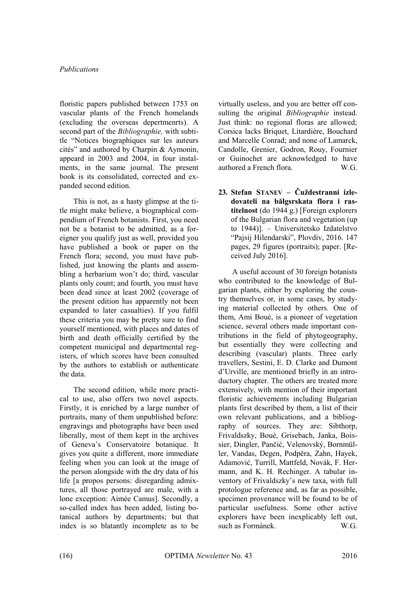floristic papers published between 1753 on vascular plants of the French homelands (excluding the overseas depertmenrts). A second part of the *Bibliographie,* with subtitle "Notices biographiques sur les auteurs cités" and authored by Charpin & Aymonin, appeard in 2003 and 2004, in four instalments, in the same journal. The present book is its consolidated, corrected and expanded second edition.

This is not, as a hasty glimpse at the title might make believe, a biographical compendium of French botanists. First, you need not be a botanist to be admitted, as a foreigner you qualify just as well, provided you have published a book or paper on the French flora; second, you must have published, just knowing the plants and assembling a herbarium won't do; third, vascular plants only count; and fourth, you must have been dead since at least 2002 (coverage of the present edition has apparently not been expanded to later casualties). If you fulfil these criteria you may be pretty sure to find yourself mentioned, with places and dates of birth and death officially certified by the competent municipal and departmental registers, of which scores have been consulted by the authors to establish or authenticate the data.

The second edition, while more practical to use, also offers two novel aspects. Firstly, it is enriched by a large number of portraits, many of them unpublished before: engravings and photographs have been used liberally, most of them kept in the archives of Geneva's Conservatoire botanique. It gives you quite a different, more immediate feeling when you can look at the image of the person alongside with the dry data of his life [a propos persons: disregarding admixtures, all those portrayed are male, with a lone exception: Aimée Camus]. Secondly, a so-called index has been added, listing botanical authors by departments; but that index is so blatantly incomplete as to be virtually useless, and you are better off consulting the original *Bibliographie* instead. Just think: no regional floras are allowed; Corsica lacks Briquet, Litardière, Bouchard and Marcelle Conrad; and none of Lamarck, Candolle, Grenier, Godron, Rouy, Fournier or Guinochet are acknowledged to have authored a French flora. W.G.

**23. Stefan STANEV – Čuždestranni izledovateli na bălgsrskata flora i rastitelnost** (do 1944 g.) [Foreign explorers of the Bulgarian flora and vegetation (up to 1944)]. – Universitetsko Izdatelstvo "Pajsij Hilendarski", Plovdiv, 2016. 147 pages, 29 figures (portraits); paper. [Received July 2016].

A useful account of 30 foreign botanists who contributed to the knowledge of Bulgarian plants, either by exploring the country themselves or, in some cases, by studying material collected by others. One of them, Ami Boué, is a pioneer of vegetation science, several others made important contributions in the field of phytogeography, but essentially they were collecting and describing (vascular) plants. Three early travellers, Sestini, E. D. Clarke and Dumont d'Urville, are mentioned briefly in an introductory chapter. The others are treated more extensively, with mention of their important floristic achievements including Bulgarian plants first described by them, a list of their own relevant publications, and a bibliography of sources. They are: Sibthorp, Frivaldszky, Boué, Grisebach, Janka, Boissier, Dingler, Pančić, Velenovský, Bornmüller, Vandas, Degen, Podpěra, Zahn, Hayek, Adamović, Turrill, Mattfeld, Novák, F. Hermann, and K. H. Rechinger. A tabular inventory of Frivaldszky's new taxa, with full protologue reference and, as far as possible, specimen provenance will be found to be of particular usefulness. Some other active explorers have been inexplicably left out, such as Formánek. W.G.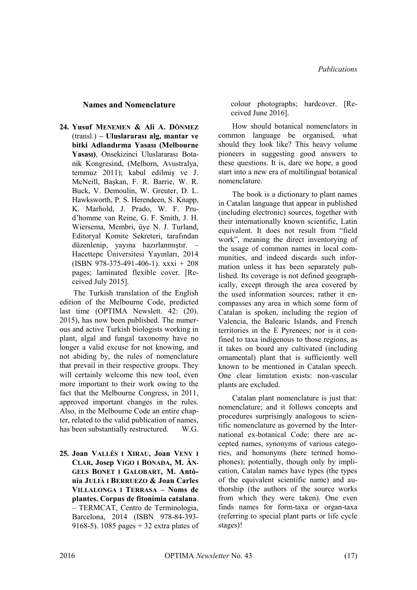## **Names and Nomenclature**

**24. Yusuf MENEMEN & Ali A. DÖNMEZ** (transl.) **– Uluslararası alg, mantar ve bitki Adlandırma Yasası (Melbourne Yasası)**, Onsekizinci Uluslararası Botanik Kongresind, (Melborn, Avustralya, temmuz 2011); kabul edilmiş ve J. McNeill, Başkan, F. R. Barrie, W. R. Buck, V. Demoulin, W. Greuter, D. L. Hawksworth, P. S. Herendeen, S. Knapp, K. Marhold, J. Prado, W. F. Prud'homme van Reine, G. F. Smith, J. H. Wiersema, Membri, üye N. J. Turland, Editoryal Komite Sekreteri, tarafından düzenlenip, yayına hazırlanmıştır. – Hacettepe Üniversitesi Yayınları, 2014 (ISBN 978-375-491-406-1). xxxi + 208 pages; laminated flexible cover. [Received July 2015].

The Turkish translation of the English edition of the Melbourne Code, predicted last time (OPTIMA Newslett. 42: (20). 2015), has now been published. The numerous and active Turkish biologists working in plant, algal and fungal taxonomy have no longer a valid excuse for not knowing, and not abiding by, the rules of nomenclature that prevail in their respective groups. They will certainly welcome this new tool, even more important to their work owing to the fact that the Melbourne Congress, in 2011, approved important changes in the rules. Also, in the Melbourne Code an entire chapter, related to the valid publication of names, has been substantially restructured. W.G.

**25. Joan VALLÈS I XIRAU, Joan VENY I CLAR, Josep VIGO I BONADA, M. ÀN-GELS BONET I GALOBART, M. Antònia JULIÀ I BERRUEZO & Joan Carles VILLALONGA I TERRASA – Noms de plantes. Corpus de fitonímia catalana**. – TERMCAT, Centro de Terminologia, Barcelona, 2014 (ISBN 978-84-393- 9168-5). 1085 pages + 32 extra plates of colour photographs; hardcover. [Received June 2016].

How should botanical nomenclators in common language be organised, what should they look like? This heavy volume pioneers in suggesting good answers to these questions. It is, dare we hope, a good start into a new era of multilingual botanical nomenclature.

The book is a dictionary to plant names in Catalan language that appear in published (including electronic) sources, together with their internationally known scientific, Latin equivalent. It does not result from "field work", meaning the direct inventorying of the usage of common names in local communities, and indeed discards such information unless it has been separately published. Its coverage is not defined geographically, except through the area covered by the used information sources; rather it encompasses any area in which some form of Catalan is spoken, including the region of Valencia, the Balearic Islands, and French territories in the E Pyrenees; nor is it confined to taxa indigenous to those regions, as it takes on board any cultivated (including ornamental) plant that is sufficiently well known to be mentioned in Catalan speech. One clear limitation exists: non-vascular plants are excluded.

Catalan plant nomenclature is just that: nomenclature; and it follows concepts and procedures surprisingly analogous to scientific nomenclature as governed by the International ex-botanical Code: there are accepted names, synonyms of various categories, and homonyms (here termed homophones); potentially, though only by implication, Catalan names have types (the types of the equivalent scientific name) and authorship (the authors of the source works from which they were taken). One even finds names for form-taxa or organ-taxa (referring to special plant parts or life cycle stages)!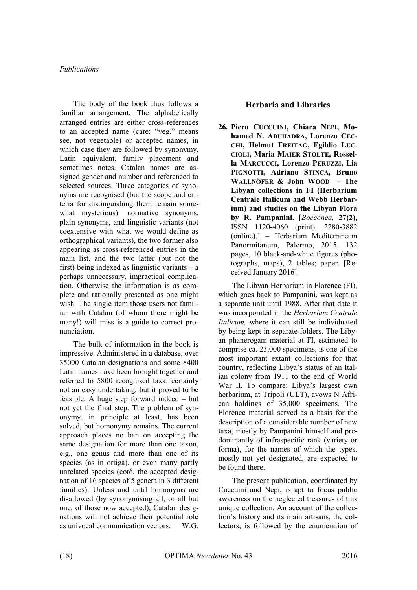The body of the book thus follows a familiar arrangement. The alphabetically arranged entries are either cross-references to an accepted name (care: "veg." means see, not vegetable) or accepted names, in which case they are followed by synonymy, Latin equivalent, family placement and sometimes notes. Catalan names are assigned gender and number and referenced to selected sources. Three categories of synonyms are recognised (but the scope and criteria for distinguishing them remain somewhat mysterious): normative synonyms, plain synonyms, and linguistic variants (not coextensive with what we would define as orthographical variants), the two former also appearing as cross-referenced entries in the main list, and the two latter (but not the first) being indexed as linguistic variants  $-$  a perhaps unnecessary, impractical complication. Otherwise the information is as complete and rationally presented as one might wish. The single item those users not familiar with Catalan (of whom there might be many!) will miss is a guide to correct pronunciation.

The bulk of information in the book is impressive. Administered in a database, over 35000 Catalan designations and some 8400 Latin names have been brought together and referred to 5800 recognised taxa: certainly not an easy undertaking, but it proved to be feasible. A huge step forward indeed – but not yet the final step. The problem of synonymy, in principle at least, has been solved, but homonymy remains. The current approach places no ban on accepting the same designation for more than one taxon, e.g., one genus and more than one of its species (as in ortiga), or even many partly unrelated species (cotó, the accepted designation of 16 species of 5 genera in 3 different families). Unless and until homonyms are disallowed (by synonymising all, or all but one, of those now accepted), Catalan designations will not achieve their potential role as univocal communication vectors. W.G.

## **Herbaria and Libraries**

**26. Piero CUCCUINI, Chiara NEPI, Mohamed N. ABUHADRA, Lorenzo CEC-CHI, Helmut FREITAG, Egildio LUC-CIOLI, Maria MAIER STOLTE, Rossella MARCUCCI, Lorenzo PERUZZI, Lia PIGNOTTI, Adriano STINCA, Bruno WALLNÖFER & John WOOD – The Libyan collections in FI (Herbarium Centrale Italicum and Webb Herbarium) and studies on the Libyan Flora by R. Pampanini.** [*Bocconea,* **27(2),** ISSN 1120-4060 (print), 2280-3882 (online).] – Herbarium Mediterraneum Panormitanum, Palermo, 2015. 132 pages, 10 black-and-white figures (photographs, maps), 2 tables; paper. [Received January 2016].

The Libyan Herbarium in Florence (FI), which goes back to Pampanini, was kept as a separate unit until 1988. After that date it was incorporated in the *Herbarium Centrale Italicum,* where it can still be individuated by being kept in separate folders. The Libyan phanerogam material at FI, estimated to comprise ca. 23,000 specimens, is one of the most important extant collections for that country, reflecting Libya's status of an Italian colony from 1911 to the end of World War II. To compare: Libya's largest own herbarium, at Tripoli (ULT), avows N African holdings of 35,000 specimens. The Florence material served as a basis for the description of a considerable number of new taxa, mostly by Pampanini himself and predominantly of infraspecific rank (variety or forma), for the names of which the types, mostly not yet designated, are expected to be found there.

The present publication, coordinated by Cuccuini and Nepi, is apt to focus public awareness on the neglected treasures of this unique collection. An account of the collection's history and its main artisans, the collectors, is followed by the enumeration of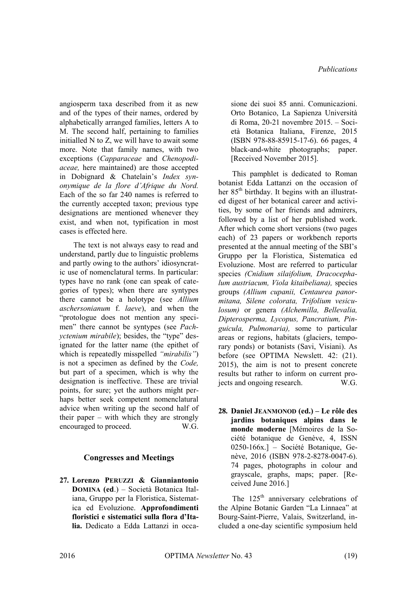angiosperm taxa described from it as new and of the types of their names, ordered by alphabetically arranged families, letters A to M. The second half, pertaining to families initialled N to Z, we will have to await some more. Note that family names, with two exceptions (*Capparaceae* and *Chenopodiaceae,* here maintained) are those accepted in Dobignard & Chatelain's *Index synonymique de la flore d'Afrique du Nord.*  Each of the so far 240 names is referred to the currently accepted taxon; previous type designations are mentioned whenever they exist, and when not, typification in most cases is effected here.

The text is not always easy to read and understand, partly due to linguistic problems and partly owing to the authors' idiosyncratic use of nomenclatural terms. In particular: types have no rank (one can speak of categories of types); when there are syntypes there cannot be a holotype (see *Allium aschersonianum* f. *laeve*), and when the "protologue does not mention any specimen" there cannot be syntypes (see *Pachyctenium mirabile*); besides, the "type" designated for the latter name (the epithet of which is repeatedly misspelled *"mirabilis"*) is not a specimen as defined by the *Code,*  but part of a specimen, which is why the designation is ineffective. These are trivial points, for sure; yet the authors might perhaps better seek competent nomenclatural advice when writing up the second half of their paper – with which they are strongly encouraged to proceed. W.G.

## **Congresses and Meetings**

**27. Lorenzo PERUZZI & Gianniantonio DOMINA (ed**.) – Società Botanica Italiana, Gruppo per la Floristica, Sistematica ed Evoluzione. **Approfondimenti floristici e sistematici sulla flora d'Italia.** Dedicato a Edda Lattanzi in occasione dei suoi 85 anni. Comunicazioni. Orto Botanico, La Sapienza Università di Roma, 20-21 novembre 2015. – Società Botanica Italiana, Firenze, 2015 (ISBN 978-88-85915-17-6). 66 pages, 4 black-and-white photographs; paper. [Received November 2015].

This pamphlet is dedicated to Roman botanist Edda Lattanzi on the occasion of her 85<sup>th</sup> birthday. It begins with an illustrated digest of her botanical career and activities, by some of her friends and admirers, followed by a list of her published work. After which come short versions (two pages each) of 23 papers or workbench reports presented at the annual meeting of the SBI's Gruppo per la Floristica, Sistematica ed Evoluzione. Most are referred to particular species *(Cnidium silaifolium, Dracocephalum austriacum, Viola kitaibeliana),* species groups *(Allium cupanii, Centaurea panormitana, Silene colorata, Trifolium vesiculosum)* or genera *(Alchemilla, Bellevalia, Dipterosperma, Lycopus, Pancratium, Pinguicula, Pulmonaria),* some to particular areas or regions, habitats (glaciers, temporary ponds) or botanists (Savi, Visiani). As before (see OPTIMA Newslett. 42: (21). 2015), the aim is not to present concrete results but rather to inform on current projects and ongoing research. W.G.

**28. Daniel JEANMONOD (ed.) – Le rôle des jardins botaniques alpins dans le monde moderne** [Mémoires de la Société botanique de Genève, 4, ISSN 0250-166x.] – Société Botanique, Genève, 2016 (ISBN 978-2-8278-0047-6). 74 pages, photographs in colour and grayscale, graphs, maps; paper. [Received June 2016.]

The  $125<sup>th</sup>$  anniversary celebrations of the Alpine Botanic Garden "La Linnaea" at Bourg-Saint-Pierre, Valais, Switzerland, included a one-day scientific symposium held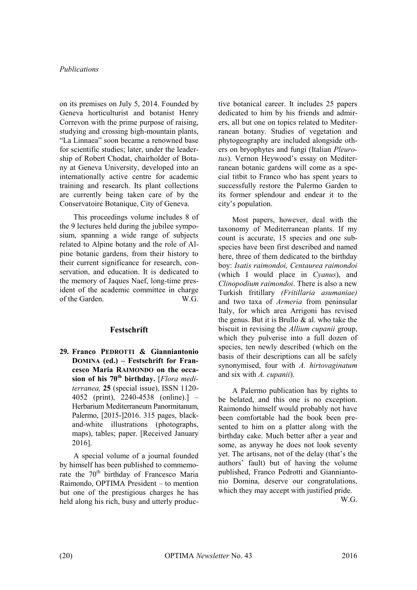on its premises on July 5, 2014. Founded by Geneva horticulturist and botanist Henry Correvon with the prime purpose of raising, studying and crossing high-mountain plants, "La Linnaea" soon became a renowned base for scientific studies; later, under the leadership of Robert Chodat, chairholder of Botany at Geneva University, developed into an internationally active centre for academic training and research. Its plant collections are currently being taken care of by the Conservatoire Botanique, City of Geneva.

This proceedings volume includes 8 of the 9 lectures held during the jubilee symposium, spanning a wide range of subjects related to Alpine botany and the role of Alpine botanic gardens, from their history to their current significance for research, conservation, and education. It is dedicated to the memory of Jaques Naef, long-time president of the academic committee in charge of the Garden. W.G.

## **Festschrift**

**29. Franco PEDROTTI & Gianniantonio DOMINA (ed.) – Festschrift for Francesco Maria RAIMONDO on the occasion of his 70th birthday.** [*Flora mediterranea,* **25** (special issue), ISSN 1120- 4052 (print), 2240-4538 (online).] – Herbarium Mediterraneum Panormitanum, Palermo, [2015-]2016. 315 pages, blackand-white illustrations (photographs, maps), tables; paper. [Received January 2016].

A special volume of a journal founded by himself has been published to commemorate the  $70<sup>th</sup>$  birthday of Francesco Maria Raimondo, OPTIMA President – to mention but one of the prestigious charges he has held along his rich, busy and utterly productive botanical career. It includes 25 papers dedicated to him by his friends and admirers, all but one on topics related to Mediterranean botany. Studies of vegetation and phytogeography are included alongside others on bryophytes and fungi (Italian *Pleurotus*). Vernon Heywood's essay on Mediterranean botanic gardens will come as a special titbit to Franco who has spent years to successfully restore the Palermo Garden to its former splendour and endear it to the city's population.

Most papers, however, deal with the taxonomy of Mediterranean plants. If my count is accurate, 15 species and one subspecies have been first described and named here, three of them dedicated to the birthday boy: *Isatis raimondoi, Centaurea raimondoi*  (which I would place in *Cyanus*), and *Clinopodium raimondoi*. There is also a new Turkish fritillary *(Fritillaria asumaniae)*  and two taxa of *Armeria* from peninsular Italy, for which area Arrigoni has revised the genus. But it is Brullo & al. who take the biscuit in revising the *Allium cupanii* group, which they pulverise into a full dozen of species, ten newly described (which on the basis of their descriptions can all be safely synonymised, four with *A. hirtovaginatum*  and six with *A. cupanii*).

A Palermo publication has by rights to be belated, and this one is no exception. Raimondo himself would probably not have been comfortable had the book been presented to him on a platter along with the birthday cake. Much better after a year and some, as anyway he does not look seventy yet. The artisans, not of the delay (that's the authors' fault) but of having the volume published, Franco Pedrotti and Gianniantonio Domina, deserve our congratulations, which they may accept with justified pride.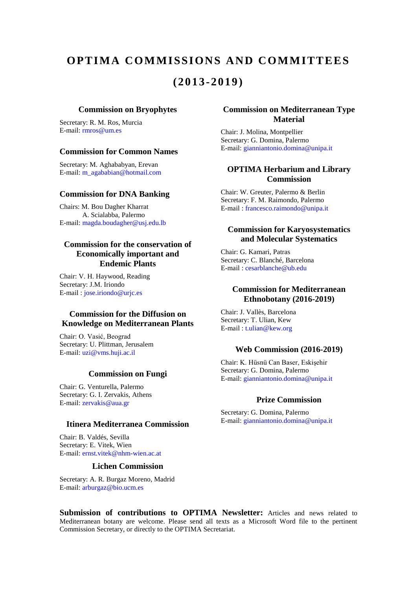## **OPTIMA COMMISSIONS AND COMMITTEES (2013-2019)**

#### **Commission on Bryophytes**

Secretary: R. M. Ros, Murcia E-mail: [rmros@um.es](mailto:rmros@um.es)

## **Commission for Common Names**

Secretary: M. Aghababyan, Erevan E-mail: m\_agababian@hotmail.com

### **Commission for DNA Banking**

Chairs: M. Bou Dagher Kharrat A. Scialabba, Palermo E-mail: magda.boudagher@usj.edu.lb

## **Commission for the conservation of Economically important and Endemic Plants**

Chair: V. H. Haywood, Reading Secretary: J.M. Iriondo E-mail : [jose.iriondo@urjc.es](mailto:jose.iriondo@urjc.es)

## **Commission for the Diffusion on Knowledge on Mediterranean Plants**

Chair: O. Vasić, Beograd Secretary: U. Plittman, Jerusalem E-mail: uzi@vms.huji.ac.il

### **Commission on Fungi**

Chair: G. Venturella, Palermo Secretary: G. I. Zervakis, Athens E-mail: zervakis@aua.gr

### **Itinera Mediterranea Commission**

Chair: B. Valdés, Sevilla Secretary: E. Vitek, Wien E-mail: [ernst.vitek@nhm-wien.ac.at](mailto:ernst.vitek@nhm-wien.ac.at) 

## **Lichen Commission**

Secretary: A. R. Burgaz Moreno, Madrid E-mail: [arburgaz@bio.ucm.es](mailto:arburgaz@bio.ucm.es)

### **Commission on Mediterranean Type Material**

Chair: J. Molina, Montpellier Secretary: G. Domina, Palermo E-mail: [gianniantonio.domina@unipa.it](mailto:gianniantonio.domina@unipa.it)

## **OPTIMA Herbarium and Library Commission**

Chair: W. Greuter, Palermo & Berlin Secretary: F. M. Raimondo, Palermo E-mail : [francesco.raimondo@unipa.it](mailto:francesco.raimondo@unipa.it)

## **Commission for Karyosystematics and Molecular Systematics**

Chair: G. Kamari, Patras Secretary: C. Blanché, Barcelona E-mail : [cesarblanche@ub.edu](mailto:cesarblanche@ub.edu)

## **Commission for Mediterranean Ethnobotany (2016-2019)**

Chair: J. Vallès, Barcelona Secretary: T. Ulian, Kew E-mail : [t.ulian@kew.org](mailto:t.ulian@kew.org)

### **Web Commission (2016-2019)**

Chair: K. Hüsnü Can Baser, Eskişehir Secretary: G. Domina, Palermo E-mail: [gianniantonio.domina@unipa.it](mailto:gianniantonio.domina@unipa.it)

### **Prize Commission**

Secretary: G. Domina, Palermo E-mail: [gianniantonio.domina@unipa.it](mailto:gianniantonio.domina@unipa.it)

**Submission of contributions to OPTIMA Newsletter:** Articles and news related to Mediterranean botany are welcome. Please send all texts as a Microsoft Word file to the pertinent Commission Secretary, or directly to the OPTIMA Secretariat.